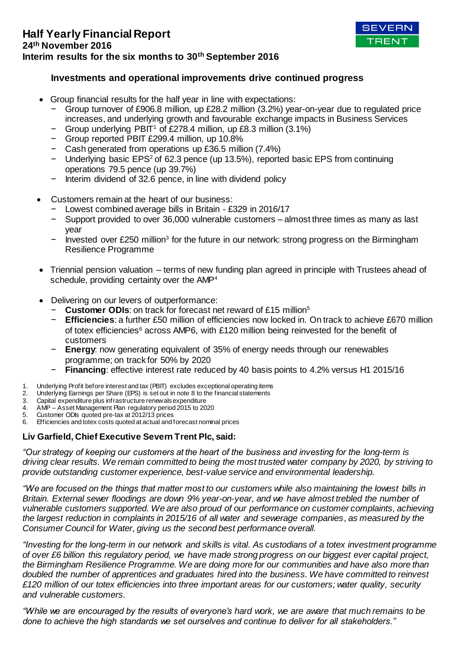

# **Investments and operational improvements drive continued progress**

- Group financial results for the half year in line with expectations:
	- − Group turnover of £906.8 million, up £28.2 million (3.2%) year-on-year due to regulated price increases, and underlying growth and favourable exchange impacts in Business Services
	- − Group underlying PBIT<sup>1</sup> of £278.4 million, up £8.3 million (3.1%)
	- − Group reported PBIT £299.4 million, up 10.8%
	- − Cash generated from operations up £36.5 million (7.4%)
	- − Underlying basic EPS<sup>2</sup> of 62.3 pence (up 13.5%), reported basic EPS from continuing operations 79.5 pence (up 39.7%)
	- − Interim dividend of 32.6 pence, in line with dividend policy
- Customers remain at the heart of our business:
	- − Lowest combined average bills in Britain £329 in 2016/17
	- − Support provided to over 36,000 vulnerable customers almost three times as many as last year
	- − Invested over £250 million<sup>3</sup> for the future in our network: strong progress on the Birmingham Resilience Programme
- Triennial pension valuation terms of new funding plan agreed in principle with Trustees ahead of schedule, providing certainty over the AMP<sup>4</sup>
- Delivering on our levers of outperformance:
	- − **Customer ODIs**: on track for forecast net reward of £15 million<sup>5</sup>
	- − **Efficiencies**: a further £50 million of efficiencies now locked in. On track to achieve £670 million of totex efficiencies<sup>6</sup> across AMP6, with £120 million being reinvested for the benefit of customers
	- − **Energy**: now generating equivalent of 35% of energy needs through our renewables programme; on track for 50% by 2020
	- **Financing:** effective interest rate reduced by 40 basis points to 4.2% versus H1 2015/16
- 
- 1. Underlying Profit before interest and tax (PBIT) excludes exceptional operating items<br>2. Underlying Earnings per Share (EPS) is set out in note 8 to the financial statements 2. Underlying Earnings per Share (EPS) is set out in note 8 to the financial statements<br>3. Capital expenditure plus infrastructure renewals expenditure
- 3. Capital expenditure plus infrastructure renewals expenditure
- 4. AMP Asset Management Plan regulatory period 2015 to 2020
- 5. Customer ODIs quoted pre-tax at 2012/13 prices
- 6. Efficiencies and totex costs quoted at actual and forecast nominal prices

## **Liv Garfield, Chief Executive Severn Trent Plc, said:**

*"Our strategy of keeping our customers at the heart of the business and investing for the long-term is driving clear results. We remain committed to being the most trusted water company by 2020, by striving to provide outstanding customer experience, best-value service and environmental leadership.*

*"We are focused on the things that matter most to our customers while also maintaining the lowest bills in Britain. External sewer floodings are down 9% year-on-year, and we have almost trebled the number of vulnerable customers supported. We are also proud of our performance on customer complaints, achieving the largest reduction in complaints in 2015/16 of all water and sewerage companies, as measured by the Consumer Council for Water, giving us the second best performance overall.* 

*"Investing for the long-term in our network and skills is vital. As custodians of a totex investment programme of over £6 billion this regulatory period, we have made strong progress on our biggest ever capital project, the Birmingham Resilience Programme. We are doing more for our communities and have also more than doubled the number of apprentices and graduates hired into the business. We have committed to reinvest £120 million of our totex efficiencies into three important areas for our customers; water quality, security and vulnerable customers.* 

*"While we are encouraged by the results of everyone's hard work, we are aware that much remains to be done to achieve the high standards we set ourselves and continue to deliver for all stakeholders."*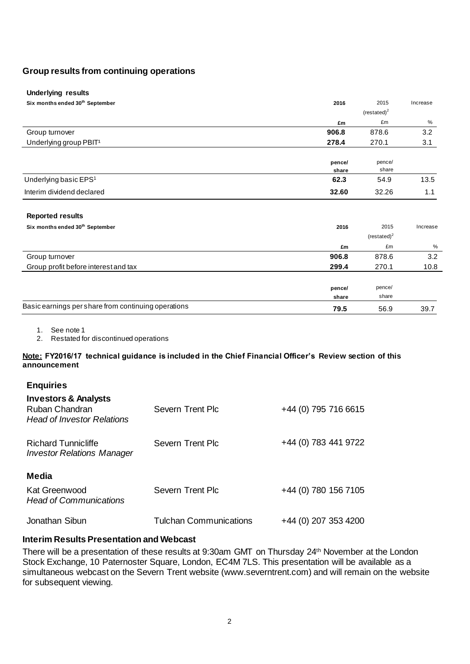# **Group results from continuing operations**

#### **Underlying results**

| Six months ended 30 <sup>th</sup> September | 2016   | 2015           | Increase |
|---------------------------------------------|--------|----------------|----------|
|                                             |        | $(restated)^2$ |          |
|                                             | £m     | £m             | %        |
| Group turnover                              | 906.8  | 878.6          | 3.2      |
| Underlying group PBIT <sup>1</sup>          | 278.4  | 270.1          | 3.1      |
|                                             |        |                |          |
|                                             | pence/ | pence/         |          |
|                                             | share  | share          |          |
| Underlying basic EPS <sup>1</sup>           | 62.3   | 54.9           | 13.5     |
| Interim dividend declared                   | 32.60  | 32.26          | 1.1      |

### **Reported results**

| Six months ended 30 <sup>th</sup> September         | 2016   | 2015           | Increase |
|-----------------------------------------------------|--------|----------------|----------|
|                                                     |        | $(restated)^2$ |          |
|                                                     | £m     | £m             | %        |
| Group turnover                                      | 906.8  | 878.6          | 3.2      |
| Group profit before interest and tax                | 299.4  | 270.1          | 10.8     |
|                                                     |        |                |          |
|                                                     | pence/ | pence/         |          |
|                                                     | share  | share          |          |
| Basic earnings per share from continuing operations | 79.5   | 56.9           | 39.7     |

1. See note 1

2. Restated for discontinued operations

### **Note: FY2016/17 technical guidance is included in the Chief Financial Officer's Review section of this announcement**

## **Enquiries**

| <b>Investors &amp; Analysts</b><br>Ruban Chandran<br><b>Head of Investor Relations</b> | Severn Trent Plc              | +44 (0) 795 716 6615 |
|----------------------------------------------------------------------------------------|-------------------------------|----------------------|
| <b>Richard Tunnicliffe</b><br><b>Investor Relations Manager</b>                        | Severn Trent Plc              | +44 (0) 783 441 9722 |
| Media<br>Kat Greenwood<br><b>Head of Communications</b>                                | Severn Trent Plc              | +44 (0) 780 156 7105 |
| Jonathan Sibun                                                                         | <b>Tulchan Communications</b> | +44 (0) 207 353 4200 |

# **Interim Results Presentation and Webcast**

There will be a presentation of these results at 9:30am GMT on Thursday 24th November at the London Stock Exchange, 10 Paternoster Square, London, EC4M 7LS. This presentation will be available as a simultaneous webcast on the Severn Trent website (www.severntrent.com) and will remain on the website for subsequent viewing.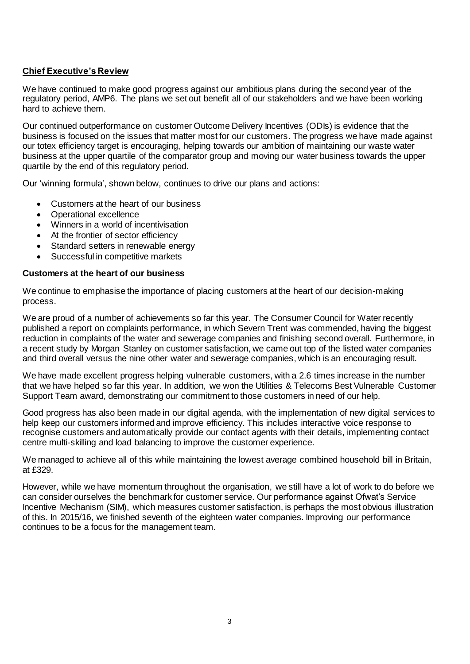# **Chief Executive's Review**

We have continued to make good progress against our ambitious plans during the second year of the regulatory period, AMP6. The plans we set out benefit all of our stakeholders and we have been working hard to achieve them.

Our continued outperformance on customer Outcome Delivery Incentives (ODIs) is evidence that the business is focused on the issues that matter most for our customers. The progress we have made against our totex efficiency target is encouraging, helping towards our ambition of maintaining our waste water business at the upper quartile of the comparator group and moving our water business towards the upper quartile by the end of this regulatory period.

Our 'winning formula', shown below, continues to drive our plans and actions:

- Customers at the heart of our business
- Operational excellence
- Winners in a world of incentivisation
- At the frontier of sector efficiency
- Standard setters in renewable energy
- Successful in competitive markets

## **Customers at the heart of our business**

We continue to emphasise the importance of placing customers at the heart of our decision-making process.

We are proud of a number of achievements so far this year. The Consumer Council for Water recently published a report on complaints performance, in which Severn Trent was commended, having the biggest reduction in complaints of the water and sewerage companies and finishing second overall. Furthermore, in a recent study by Morgan Stanley on customer satisfaction, we came out top of the listed water companies and third overall versus the nine other water and sewerage companies, which is an encouraging result.

We have made excellent progress helping vulnerable customers, with a 2.6 times increase in the number that we have helped so far this year. In addition, we won the Utilities & Telecoms Best Vulnerable Customer Support Team award, demonstrating our commitment to those customers in need of our help.

Good progress has also been made in our digital agenda, with the implementation of new digital services to help keep our customers informed and improve efficiency. This includes interactive voice response to recognise customers and automatically provide our contact agents with their details, implementing contact centre multi-skilling and load balancing to improve the customer experience.

We managed to achieve all of this while maintaining the lowest average combined household bill in Britain, at £329.

However, while we have momentum throughout the organisation, we still have a lot of work to do before we can consider ourselves the benchmark for customer service. Our performance against Ofwat's Service Incentive Mechanism (SIM), which measures customer satisfaction, is perhaps the most obvious illustration of this. In 2015/16, we finished seventh of the eighteen water companies. Improving our performance continues to be a focus for the management team.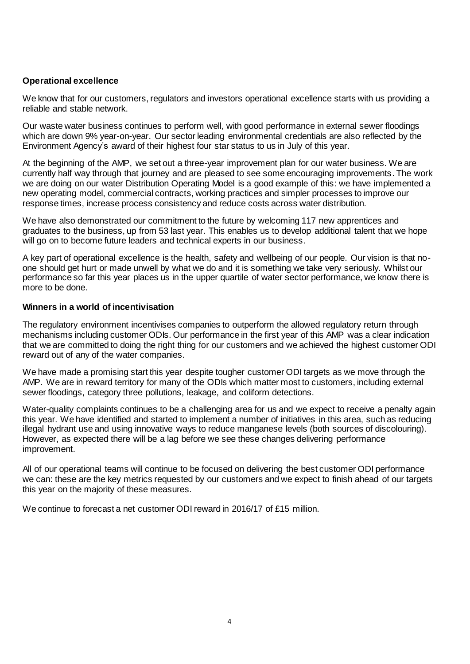# **Operational excellence**

We know that for our customers, regulators and investors operational excellence starts with us providing a reliable and stable network.

Our waste water business continues to perform well, with good performance in external sewer floodings which are down 9% year-on-year. Our sector leading environmental credentials are also reflected by the Environment Agency's award of their highest four star status to us in July of this year.

At the beginning of the AMP, we set out a three-year improvement plan for our water business. We are currently half way through that journey and are pleased to see some encouraging improvements. The work we are doing on our water Distribution Operating Model is a good example of this: we have implemented a new operating model, commercial contracts, working practices and simpler processes to improve our response times, increase process consistency and reduce costs across water distribution.

We have also demonstrated our commitment to the future by welcoming 117 new apprentices and graduates to the business, up from 53 last year. This enables us to develop additional talent that we hope will go on to become future leaders and technical experts in our business.

A key part of operational excellence is the health, safety and wellbeing of our people. Our vision is that noone should get hurt or made unwell by what we do and it is something we take very seriously. Whilst our performance so far this year places us in the upper quartile of water sector performance, we know there is more to be done.

## **Winners in a world of incentivisation**

The regulatory environment incentivises companies to outperform the allowed regulatory return through mechanisms including customer ODIs. Our performance in the first year of this AMP was a clear indication that we are committed to doing the right thing for our customers and we achieved the highest customer ODI reward out of any of the water companies.

We have made a promising start this year despite tougher customer ODI targets as we move through the AMP. We are in reward territory for many of the ODIs which matter most to customers, including external sewer floodings, category three pollutions, leakage, and coliform detections.

Water-quality complaints continues to be a challenging area for us and we expect to receive a penalty again this year. We have identified and started to implement a number of initiatives in this area, such as reducing illegal hydrant use and using innovative ways to reduce manganese levels (both sources of discolouring). However, as expected there will be a lag before we see these changes delivering performance improvement.

All of our operational teams will continue to be focused on delivering the best customer ODI performance we can: these are the key metrics requested by our customers and we expect to finish ahead of our targets this year on the majority of these measures.

We continue to forecast a net customer ODI reward in 2016/17 of £15 million.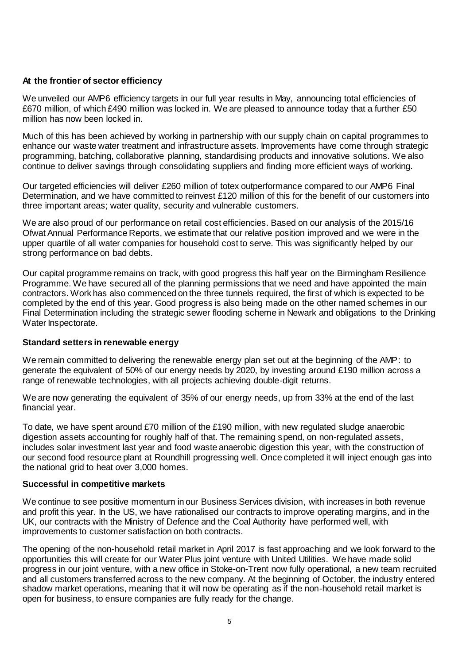# **At the frontier of sector efficiency**

We unveiled our AMP6 efficiency targets in our full year results in May, announcing total efficiencies of £670 million, of which £490 million was locked in. We are pleased to announce today that a further £50 million has now been locked in.

Much of this has been achieved by working in partnership with our supply chain on capital programmes to enhance our waste water treatment and infrastructure assets. Improvements have come through strategic programming, batching, collaborative planning, standardising products and innovative solutions. We also continue to deliver savings through consolidating suppliers and finding more efficient ways of working.

Our targeted efficiencies will deliver £260 million of totex outperformance compared to our AMP6 Final Determination, and we have committed to reinvest £120 million of this for the benefit of our customers into three important areas; water quality, security and vulnerable customers.

We are also proud of our performance on retail cost efficiencies. Based on our analysis of the 2015/16 Ofwat Annual Performance Reports, we estimate that our relative position improved and we were in the upper quartile of all water companies for household cost to serve. This was significantly helped by our strong performance on bad debts.

Our capital programme remains on track, with good progress this half year on the Birmingham Resilience Programme. We have secured all of the planning permissions that we need and have appointed the main contractors. Work has also commenced on the three tunnels required, the first of which is expected to be completed by the end of this year. Good progress is also being made on the other named schemes in our Final Determination including the strategic sewer flooding scheme in Newark and obligations to the Drinking Water Inspectorate.

## **Standard setters in renewable energy**

We remain committed to delivering the renewable energy plan set out at the beginning of the AMP: to generate the equivalent of 50% of our energy needs by 2020, by investing around £190 million across a range of renewable technologies, with all projects achieving double-digit returns.

We are now generating the equivalent of 35% of our energy needs, up from 33% at the end of the last financial year.

To date, we have spent around £70 million of the £190 million, with new regulated sludge anaerobic digestion assets accounting for roughly half of that. The remaining spend, on non-regulated assets, includes solar investment last year and food waste anaerobic digestion this year, with the construction of our second food resource plant at Roundhill progressing well. Once completed it will inject enough gas into the national grid to heat over 3,000 homes.

## **Successful in competitive markets**

We continue to see positive momentum in our Business Services division, with increases in both revenue and profit this year. In the US, we have rationalised our contracts to improve operating margins, and in the UK, our contracts with the Ministry of Defence and the Coal Authority have performed well, with improvements to customer satisfaction on both contracts.

The opening of the non-household retail market in April 2017 is fast approaching and we look forward to the opportunities this will create for our Water Plus joint venture with United Utilities. We have made solid progress in our joint venture, with a new office in Stoke-on-Trent now fully operational, a new team recruited and all customers transferred across to the new company. At the beginning of October, the industry entered shadow market operations, meaning that it will now be operating as if the non-household retail market is open for business, to ensure companies are fully ready for the change.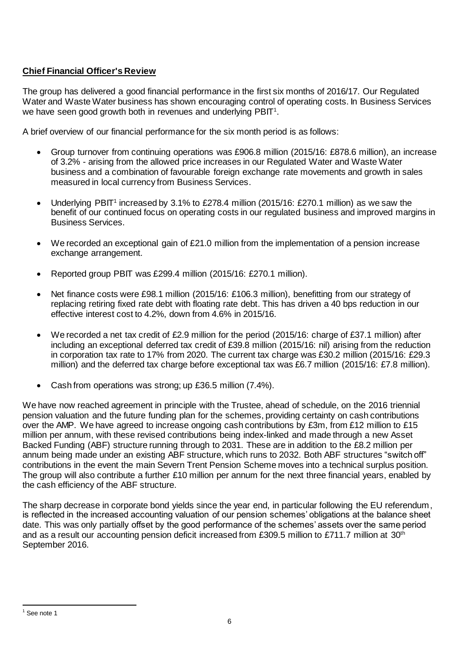# **Chief Financial Officer's Review**

The group has delivered a good financial performance in the first six months of 2016/17. Our Regulated Water and Waste Water business has shown encouraging control of operating costs. In Business Services we have seen good growth both in revenues and underlying  $\mathsf{PBIT}^{\scriptscriptstyle 1}.$ 

A brief overview of our financial performance for the six month period is as follows:

- Group turnover from continuing operations was £906.8 million (2015/16: £878.6 million), an increase of 3.2% - arising from the allowed price increases in our Regulated Water and Waste Water business and a combination of favourable foreign exchange rate movements and growth in sales measured in local currency from Business Services.
- Underlying PBIT<sup>1</sup> increased by 3.1% to £278.4 million (2015/16: £270.1 million) as we saw the benefit of our continued focus on operating costs in our regulated business and improved margins in Business Services.
- We recorded an exceptional gain of £21.0 million from the implementation of a pension increase exchange arrangement.
- Reported group PBIT was £299.4 million (2015/16: £270.1 million).
- Net finance costs were £98.1 million (2015/16: £106.3 million), benefitting from our strategy of replacing retiring fixed rate debt with floating rate debt. This has driven a 40 bps reduction in our effective interest cost to 4.2%, down from 4.6% in 2015/16.
- We recorded a net tax credit of £2.9 million for the period (2015/16: charge of £37.1 million) after including an exceptional deferred tax credit of £39.8 million (2015/16: nil) arising from the reduction in corporation tax rate to 17% from 2020. The current tax charge was £30.2 million (2015/16: £29.3 million) and the deferred tax charge before exceptional tax was £6.7 million (2015/16: £7.8 million).
- Cash from operations was strong; up £36.5 million (7.4%).

We have now reached agreement in principle with the Trustee, ahead of schedule, on the 2016 triennial pension valuation and the future funding plan for the schemes, providing certainty on cash contributions over the AMP. We have agreed to increase ongoing cash contributions by £3m, from £12 million to £15 million per annum, with these revised contributions being index-linked and made through a new Asset Backed Funding (ABF) structure running through to 2031. These are in addition to the £8.2 million per annum being made under an existing ABF structure, which runs to 2032. Both ABF structures "switch off" contributions in the event the main Severn Trent Pension Scheme moves into a technical surplus position. The group will also contribute a further £10 million per annum for the next three financial years, enabled by the cash efficiency of the ABF structure.

The sharp decrease in corporate bond yields since the year end, in particular following the EU referendum, is reflected in the increased accounting valuation of our pension schemes' obligations at the balance sheet date. This was only partially offset by the good performance of the schemes' assets over the same period and as a result our accounting pension deficit increased from £309.5 million to £711.7 million at 30th September 2016.

 $\overline{a}$ 

 $<sup>1</sup>$  See note 1</sup>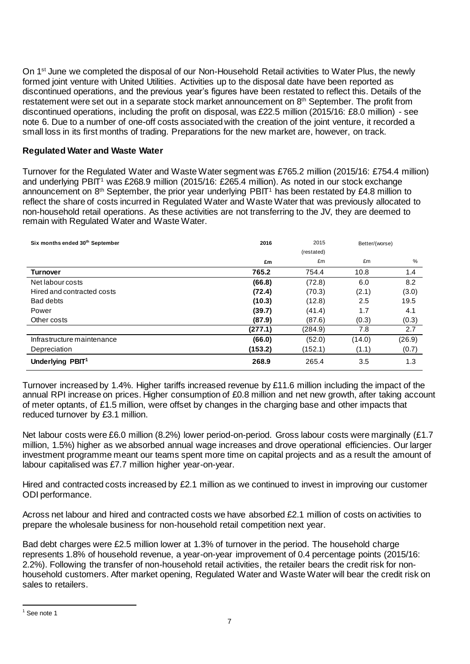On 1<sup>st</sup> June we completed the disposal of our Non-Household Retail activities to Water Plus, the newly formed joint venture with United Utilities. Activities up to the disposal date have been reported as discontinued operations, and the previous year's figures have been restated to reflect this. Details of the restatement were set out in a separate stock market announcement on 8<sup>th</sup> September. The profit from discontinued operations, including the profit on disposal, was £22.5 million (2015/16: £8.0 million) - see note 6. Due to a number of one-off costs associated with the creation of the joint venture, it recorded a small loss in its first months of trading. Preparations for the new market are, however, on track.

# **Regulated Water and Waste Water**

Turnover for the Regulated Water and Waste Water segment was £765.2 million (2015/16: £754.4 million) and underlying PBIT<sup>1</sup> was £268.9 million (2015/16: £265.4 million). As noted in our stock exchange announcement on  $8<sup>th</sup>$  September, the prior year underlying PBIT<sup>1</sup> has been restated by £4.8 million to reflect the share of costs incurred in Regulated Water and Waste Water that was previously allocated to non-household retail operations. As these activities are not transferring to the JV, they are deemed to remain with Regulated Water and Waste Water.

| Six months ended 30 <sup>th</sup> September | 2016    | 2015       | Better/(worse) |        |
|---------------------------------------------|---------|------------|----------------|--------|
|                                             |         | (restated) |                |        |
|                                             | £m      | £m         | £m             | $\%$   |
| <b>Turnover</b>                             | 765.2   | 754.4      | 10.8           | 1.4    |
| Net labour costs                            | (66.8)  | (72.8)     | 6.0            | 8.2    |
| Hired and contracted costs                  | (72.4)  | (70.3)     | (2.1)          | (3.0)  |
| Bad debts                                   | (10.3)  | (12.8)     | 2.5            | 19.5   |
| Power                                       | (39.7)  | (41.4)     | 1.7            | 4.1    |
| Other costs                                 | (87.9)  | (87.6)     | (0.3)          | (0.3)  |
|                                             | (277.1) | (284.9)    | 7.8            | 2.7    |
| Infrastructure maintenance                  | (66.0)  | (52.0)     | (14.0)         | (26.9) |
| Depreciation                                | (153.2) | (152.1)    | (1.1)          | (0.7)  |
| Underlying PBIT <sup>1</sup>                | 268.9   | 265.4      | 3.5            | 1.3    |

Turnover increased by 1.4%. Higher tariffs increased revenue by £11.6 million including the impact of the annual RPI increase on prices. Higher consumption of £0.8 million and net new growth, after taking account of meter optants, of £1.5 million, were offset by changes in the charging base and other impacts that reduced turnover by £3.1 million.

Net labour costs were £6.0 million (8.2%) lower period-on-period. Gross labour costs were marginally (£1.7 million, 1.5%) higher as we absorbed annual wage increases and drove operational efficiencies. Our larger investment programme meant our teams spent more time on capital projects and as a result the amount of labour capitalised was £7.7 million higher year-on-year.

Hired and contracted costs increased by £2.1 million as we continued to invest in improving our customer ODI performance.

Across net labour and hired and contracted costs we have absorbed £2.1 million of costs on activities to prepare the wholesale business for non-household retail competition next year.

Bad debt charges were £2.5 million lower at 1.3% of turnover in the period. The household charge represents 1.8% of household revenue, a year-on-year improvement of 0.4 percentage points (2015/16: 2.2%). Following the transfer of non-household retail activities, the retailer bears the credit risk for nonhousehold customers. After market opening, Regulated Water and Waste Water will bear the credit risk on sales to retailers.

 $\overline{a}$  $<sup>1</sup>$  See note 1</sup>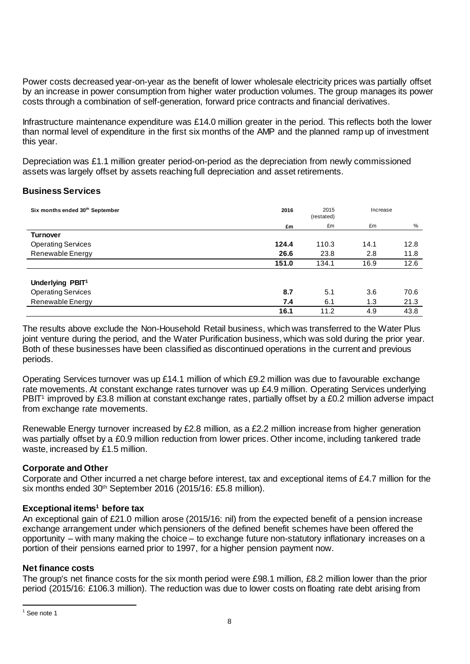Power costs decreased year-on-year as the benefit of lower wholesale electricity prices was partially offset by an increase in power consumption from higher water production volumes. The group manages its power costs through a combination of self-generation, forward price contracts and financial derivatives.

Infrastructure maintenance expenditure was £14.0 million greater in the period. This reflects both the lower than normal level of expenditure in the first six months of the AMP and the planned ramp up of investment this year.

Depreciation was £1.1 million greater period-on-period as the depreciation from newly commissioned assets was largely offset by assets reaching full depreciation and asset retirements.

## **Business Services**

| Six months ended 30 <sup>th</sup> September | 2016  | 2015<br>Increase<br>(restated) |      |      |
|---------------------------------------------|-------|--------------------------------|------|------|
|                                             | £m    | £m                             | £m   | %    |
| <b>Turnover</b>                             |       |                                |      |      |
| <b>Operating Services</b>                   | 124.4 | 110.3                          | 14.1 | 12.8 |
| Renewable Energy                            | 26.6  | 23.8                           | 2.8  | 11.8 |
|                                             | 151.0 | 134.1                          | 16.9 | 12.6 |
| Underlying PBIT <sup>1</sup>                |       |                                |      |      |
| <b>Operating Services</b>                   | 8.7   | 5.1                            | 3.6  | 70.6 |
| Renewable Energy                            | 7.4   | 6.1                            | 1.3  | 21.3 |
|                                             | 16.1  | 11.2                           | 4.9  | 43.8 |

The results above exclude the Non-Household Retail business, which was transferred to the Water Plus joint venture during the period, and the Water Purification business, which was sold during the prior year. Both of these businesses have been classified as discontinued operations in the current and previous periods.

Operating Services turnover was up £14.1 million of which £9.2 million was due to favourable exchange rate movements. At constant exchange rates turnover was up £4.9 million. Operating Services underlying PBIT<sup>1</sup> improved by £3.8 million at constant exchange rates, partially offset by a £0.2 million adverse impact from exchange rate movements.

Renewable Energy turnover increased by £2.8 million, as a £2.2 million increase from higher generation was partially offset by a £0.9 million reduction from lower prices. Other income, including tankered trade waste, increased by £1.5 million.

## **Corporate and Other**

Corporate and Other incurred a net charge before interest, tax and exceptional items of £4.7 million for the six months ended 30<sup>th</sup> September 2016 (2015/16: £5.8 million).

## **Exceptional items<sup>1</sup> before tax**

An exceptional gain of £21.0 million arose (2015/16: nil) from the expected benefit of a pension increase exchange arrangement under which pensioners of the defined benefit schemes have been offered the opportunity – with many making the choice – to exchange future non-statutory inflationary increases on a portion of their pensions earned prior to 1997, for a higher pension payment now.

## **Net finance costs**

The group's net finance costs for the six month period were £98.1 million, £8.2 million lower than the prior period (2015/16: £106.3 million). The reduction was due to lower costs on floating rate debt arising from

 $\overline{a}$ <sup>1</sup> See note 1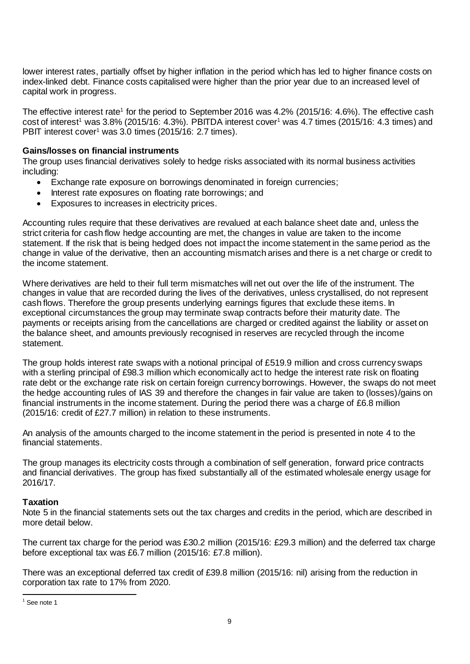lower interest rates, partially offset by higher inflation in the period which has led to higher finance costs on index-linked debt. Finance costs capitalised were higher than the prior year due to an increased level of capital work in progress.

The effective interest rate<sup>1</sup> for the period to September 2016 was 4.2% (2015/16: 4.6%). The effective cash cost of interest<sup>1</sup> was  $3.8\%$  (2015/16: 4.3%). PBITDA interest cover<sup>1</sup> was  $4.7$  times (2015/16:  $4.3$  times) and PBIT interest cover<sup>1</sup> was 3.0 times (2015/16: 2.7 times).

# **Gains/losses on financial instruments**

The group uses financial derivatives solely to hedge risks associated with its normal business activities including:

- Exchange rate exposure on borrowings denominated in foreign currencies;
- Interest rate exposures on floating rate borrowings; and
- Exposures to increases in electricity prices.

Accounting rules require that these derivatives are revalued at each balance sheet date and, unless the strict criteria for cash flow hedge accounting are met, the changes in value are taken to the income statement. If the risk that is being hedged does not impact the income statement in the same period as the change in value of the derivative, then an accounting mismatch arises and there is a net charge or credit to the income statement.

Where derivatives are held to their full term mismatches will net out over the life of the instrument. The changes in value that are recorded during the lives of the derivatives, unless crystallised, do not represent cash flows. Therefore the group presents underlying earnings figures that exclude these items. In exceptional circumstances the group may terminate swap contracts before their maturity date. The payments or receipts arising from the cancellations are charged or credited against the liability or asset on the balance sheet, and amounts previously recognised in reserves are recycled through the income statement.

The group holds interest rate swaps with a notional principal of £519.9 million and cross currency swaps with a sterling principal of £98.3 million which economically act to hedge the interest rate risk on floating rate debt or the exchange rate risk on certain foreign currency borrowings. However, the swaps do not meet the hedge accounting rules of IAS 39 and therefore the changes in fair value are taken to (losses)/gains on financial instruments in the income statement. During the period there was a charge of £6.8 million (2015/16: credit of £27.7 million) in relation to these instruments.

An analysis of the amounts charged to the income statement in the period is presented in note 4 to the financial statements.

The group manages its electricity costs through a combination of self generation, forward price contracts and financial derivatives. The group has fixed substantially all of the estimated wholesale energy usage for 2016/17.

## **Taxation**

Note 5 in the financial statements sets out the tax charges and credits in the period, which are described in more detail below.

The current tax charge for the period was £30.2 million (2015/16: £29.3 million) and the deferred tax charge before exceptional tax was £6.7 million (2015/16: £7.8 million).

There was an exceptional deferred tax credit of £39.8 million (2015/16: nil) arising from the reduction in corporation tax rate to 17% from 2020.

 $\overline{a}$ <sup>1</sup> See note 1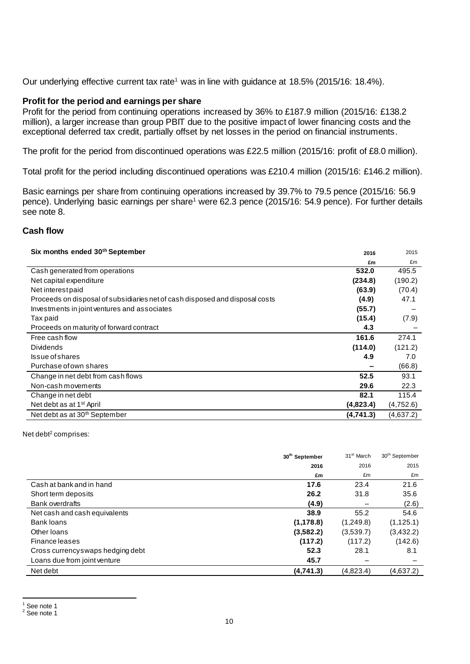Our underlying effective current tax rate<sup>1</sup> was in line with guidance at  $18.5\%$  (2015/16: 18.4%).

## **Profit for the period and earnings per share**

Profit for the period from continuing operations increased by 36% to £187.9 million (2015/16: £138.2 million), a larger increase than group PBIT due to the positive impact of lower financing costs and the exceptional deferred tax credit, partially offset by net losses in the period on financial instruments.

The profit for the period from discontinued operations was £22.5 million (2015/16: profit of £8.0 million).

Total profit for the period including discontinued operations was £210.4 million (2015/16: £146.2 million).

Basic earnings per share from continuing operations increased by 39.7% to 79.5 pence (2015/16: 56.9 pence). Underlying basic earnings per share<sup>1</sup> were 62.3 pence (2015/16: 54.9 pence). For further details see note 8.

# **Cash flow**

| Six months ended 30 <sup>th</sup> September                                  | 2016      | 2015      |
|------------------------------------------------------------------------------|-----------|-----------|
|                                                                              | £m        | £m        |
| Cash generated from operations                                               | 532.0     | 495.5     |
| Net capital expenditure                                                      | (234.8)   | (190.2)   |
| Net interest paid                                                            | (63.9)    | (70.4)    |
| Proceeds on disposal of subsidiaries net of cash disposed and disposal costs | (4.9)     | 47.1      |
| Investments in joint ventures and associates                                 | (55.7)    |           |
| Tax paid                                                                     | (15.4)    | (7.9)     |
| Proceeds on maturity of forward contract                                     | 4.3       |           |
| Free cash flow                                                               | 161.6     | 274.1     |
| <b>Dividends</b>                                                             | (114.0)   | (121.2)   |
| <b>Issue of shares</b>                                                       | 4.9       | 7.0       |
| Purchase of own shares                                                       |           | (66.8)    |
| Change in net debt from cash flows                                           | 52.5      | 93.1      |
| Non-cash movements                                                           | 29.6      | 22.3      |
| Change in net debt                                                           | 82.1      | 115.4     |
| Net debt as at 1 <sup>st</sup> April                                         | (4,823.4) | (4,752.6) |
| Net debt as at 30 <sup>th</sup> September                                    | (4,741.3) | (4,637.2) |

Net debt<sup>2</sup> comprises:

|                                   | 30 <sup>th</sup> September | 31 <sup>st</sup> March | 30 <sup>th</sup> September |
|-----------------------------------|----------------------------|------------------------|----------------------------|
|                                   | 2016                       | 2016                   | 2015                       |
|                                   | £m                         | £m                     | £m                         |
| Cash at bank and in hand          | 17.6                       | 23.4                   | 21.6                       |
| Short term deposits               | 26.2                       | 31.8                   | 35.6                       |
| Bank overdrafts                   | (4.9)                      |                        | (2.6)                      |
| Net cash and cash equivalents     | 38.9                       | 55.2                   | 54.6                       |
| Bank loans                        | (1, 178.8)                 | (1,249.8)              | (1, 125.1)                 |
| Other Ioans                       | (3,582.2)                  | (3,539.7)              | (3,432.2)                  |
| Finance leases                    | (117.2)                    | (117.2)                | (142.6)                    |
| Cross currency swaps hedging debt | 52.3                       | 28.1                   | 8.1                        |
| Loans due from joint venture      | 45.7                       |                        |                            |
| Net debt                          | (4,741.3)                  | (4,823.4)              | (4,637.2)                  |

 $1$  See note 1

 $\overline{a}$ 

 $2$  See note 1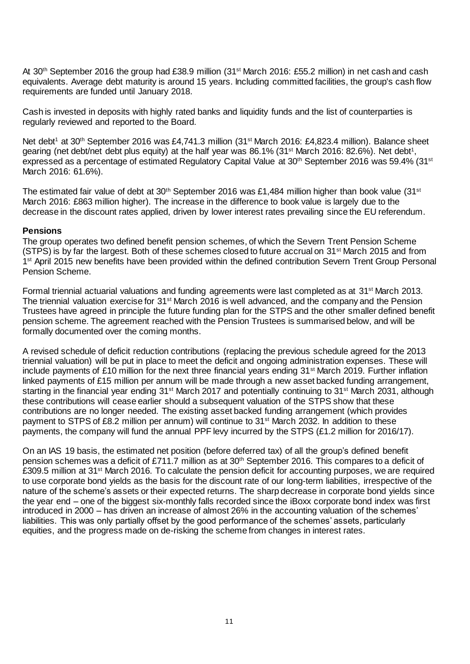At 30<sup>th</sup> September 2016 the group had £38.9 million (31<sup>st</sup> March 2016: £55.2 million) in net cash and cash equivalents. Average debt maturity is around 15 years. Including committed facilities, the group's cash flow requirements are funded until January 2018.

Cash is invested in deposits with highly rated banks and liquidity funds and the list of counterparties is regularly reviewed and reported to the Board.

Net debt<sup>1</sup> at 30<sup>th</sup> September 2016 was £4,741.3 million (31<sup>st</sup> March 2016: £4,823.4 million). Balance sheet gearing (net debt/net debt plus equity) at the half year was 86.1% (31<sup>st</sup> March 2016: 82.6%). Net debt<sup>1</sup>, expressed as a percentage of estimated Regulatory Capital Value at 30<sup>th</sup> September 2016 was 59.4% (31<sup>st</sup>) March 2016: 61.6%).

The estimated fair value of debt at 30<sup>th</sup> September 2016 was £1,484 million higher than book value (31<sup>st</sup>) March 2016: £863 million higher). The increase in the difference to book value is largely due to the decrease in the discount rates applied, driven by lower interest rates prevailing since the EU referendum.

## **Pensions**

The group operates two defined benefit pension schemes, of which the Severn Trent Pension Scheme (STPS) is by far the largest. Both of these schemes closed to future accrual on 31st March 2015 and from 1<sup>st</sup> April 2015 new benefits have been provided within the defined contribution Severn Trent Group Personal Pension Scheme.

Formal triennial actuarial valuations and funding agreements were last completed as at 31st March 2013. The triennial valuation exercise for 31<sup>st</sup> March 2016 is well advanced, and the company and the Pension Trustees have agreed in principle the future funding plan for the STPS and the other smaller defined benefit pension scheme. The agreement reached with the Pension Trustees is summarised below, and will be formally documented over the coming months.

A revised schedule of deficit reduction contributions (replacing the previous schedule agreed for the 2013 triennial valuation) will be put in place to meet the deficit and ongoing administration expenses. These will include payments of £10 million for the next three financial years ending  $31<sup>st</sup>$  March 2019. Further inflation linked payments of £15 million per annum will be made through a new asset backed funding arrangement, starting in the financial year ending 31<sup>st</sup> March 2017 and potentially continuing to 31<sup>st</sup> March 2031, although these contributions will cease earlier should a subsequent valuation of the STPS show that these contributions are no longer needed. The existing asset backed funding arrangement (which provides payment to STPS of £8.2 million per annum) will continue to 31<sup>st</sup> March 2032. In addition to these payments, the company will fund the annual PPF levy incurred by the STPS (£1.2 million for 2016/17).

On an IAS 19 basis, the estimated net position (before deferred tax) of all the group's defined benefit pension schemes was a deficit of £711.7 million as at 30<sup>th</sup> September 2016. This compares to a deficit of £309.5 million at 31st March 2016. To calculate the pension deficit for accounting purposes, we are required to use corporate bond yields as the basis for the discount rate of our long-term liabilities, irrespective of the nature of the scheme's assets or their expected returns. The sharp decrease in corporate bond yields since the year end – one of the biggest six-monthly falls recorded since the iBoxx corporate bond index was first introduced in 2000 – has driven an increase of almost 26% in the accounting valuation of the schemes' liabilities. This was only partially offset by the good performance of the schemes' assets, particularly equities, and the progress made on de-risking the scheme from changes in interest rates.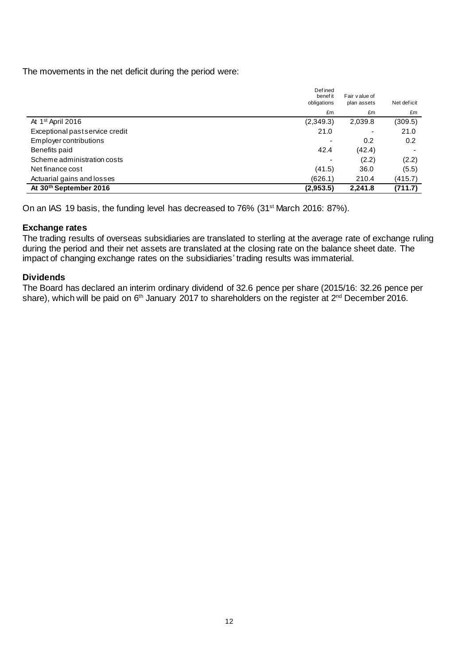The movements in the net deficit during the period were:

|                                 | Def ined<br>benef it<br>obligations | Fair value of<br>plan assets | Net def icit |
|---------------------------------|-------------------------------------|------------------------------|--------------|
|                                 | £m                                  | £m                           | £m           |
| At 1 <sup>st</sup> April 2016   | (2,349.3)                           | 2,039.8                      | (309.5)      |
| Exceptional past service credit | 21.0                                |                              | 21.0         |
| Employer contributions          |                                     | 0.2                          | 0.2          |
| Benefits paid                   | 42.4                                | (42.4)                       |              |
| Scheme administration costs     |                                     | (2.2)                        | (2.2)        |
| Net finance cost                | (41.5)                              | 36.0                         | (5.5)        |
| Actuarial gains and losses      | (626.1)                             | 210.4                        | (415.7)      |
| At 30th September 2016          | (2,953.5)                           | 2,241.8                      | (711.7)      |

On an IAS 19 basis, the funding level has decreased to 76% (31st March 2016: 87%).

# **Exchange rates**

The trading results of overseas subsidiaries are translated to sterling at the average rate of exchange ruling during the period and their net assets are translated at the closing rate on the balance sheet date. The impact of changing exchange rates on the subsidiaries' trading results was immaterial.

## **Dividends**

The Board has declared an interim ordinary dividend of 32.6 pence per share (2015/16: 32.26 pence per share), which will be paid on 6<sup>th</sup> January 2017 to shareholders on the register at 2<sup>nd</sup> December 2016.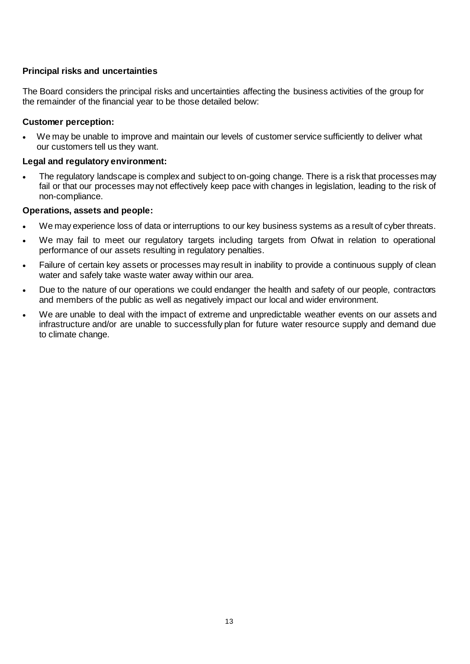# **Principal risks and uncertainties**

The Board considers the principal risks and uncertainties affecting the business activities of the group for the remainder of the financial year to be those detailed below:

## **Customer perception:**

 We may be unable to improve and maintain our levels of customer service sufficiently to deliver what our customers tell us they want.

## **Legal and regulatory environment:**

 The regulatory landscape is complex and subject to on-going change. There is a risk that processes may fail or that our processes may not effectively keep pace with changes in legislation, leading to the risk of non-compliance.

## **Operations, assets and people:**

- We may experience loss of data or interruptions to our key business systems as a result of cyber threats.
- We may fail to meet our regulatory targets including targets from Ofwat in relation to operational performance of our assets resulting in regulatory penalties.
- Failure of certain key assets or processes may result in inability to provide a continuous supply of clean water and safely take waste water away within our area.
- Due to the nature of our operations we could endanger the health and safety of our people, contractors and members of the public as well as negatively impact our local and wider environment.
- We are unable to deal with the impact of extreme and unpredictable weather events on our assets and infrastructure and/or are unable to successfully plan for future water resource supply and demand due to climate change.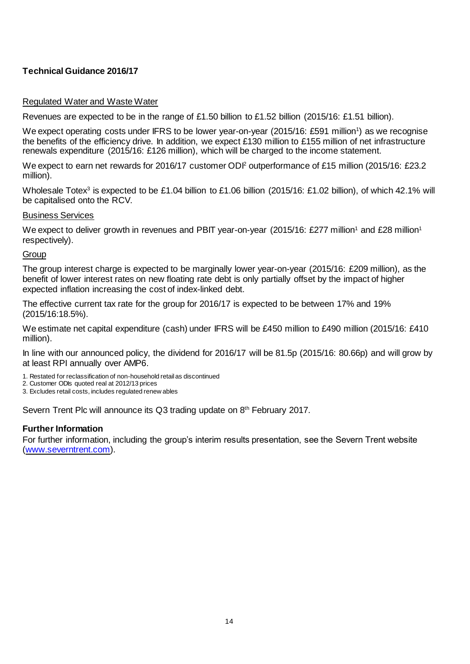# **Technical Guidance 2016/17**

## Regulated Water and Waste Water

Revenues are expected to be in the range of £1.50 billion to £1.52 billion (2015/16: £1.51 billion).

We expect operating  $\cos$ ts under IFRS to be lower year-on-year (2015/16: £591 million<sup>1</sup>) as we recognise the benefits of the efficiency drive. In addition, we expect £130 million to £155 million of net infrastructure renewals expenditure (2015/16: £126 million), which will be charged to the income statement.

We expect to earn net rewards for 2016/17 customer ODI<sup>2</sup> outperformance of £15 million (2015/16: £23.2) million).

Wholesale Totex<sup>3</sup> is expected to be £1.04 billion to £1.06 billion (2015/16: £1.02 billion), of which 42.1% will be capitalised onto the RCV.

## Business Services

We expect to deliver growth in revenues and PBIT year-on-year (2015/16: £277 million<sup>1</sup> and £28 million<sup>1</sup> respectively).

## **Group**

The group interest charge is expected to be marginally lower year-on-year (2015/16: £209 million), as the benefit of lower interest rates on new floating rate debt is only partially offset by the impact of higher expected inflation increasing the cost of index-linked debt.

The effective current tax rate for the group for 2016/17 is expected to be between 17% and 19% (2015/16:18.5%).

We estimate net capital expenditure (cash) under IFRS will be £450 million to £490 million (2015/16: £410 million).

In line with our announced policy, the dividend for 2016/17 will be 81.5p (2015/16: 80.66p) and will grow by at least RPI annually over AMP6.

1. Restated for reclassification of non-household retail as discontinued

2. Customer ODIs quoted real at 2012/13 prices

3. Excludes retail costs, includes regulated renew ables

Severn Trent Plc will announce its Q3 trading update on 8<sup>th</sup> February 2017.

## **Further Information**

For further information, including the group's interim results presentation, see the Severn Trent website [\(www.severntrent.com\)](http://www.severntrent.com/).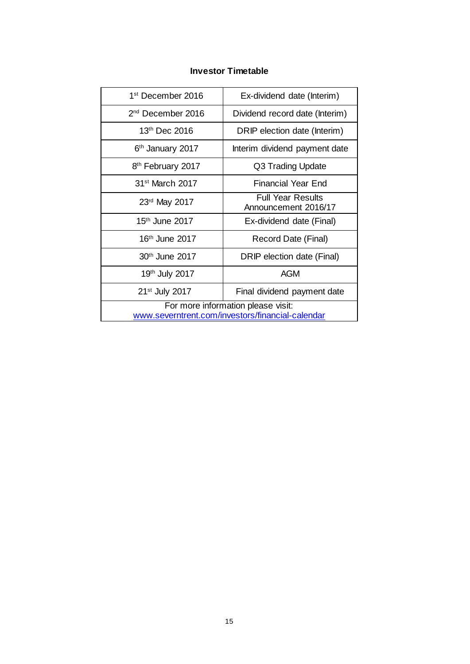| <b>Investor Timetable</b> |
|---------------------------|
|                           |

| 1 <sup>st</sup> December 2016 | Ex-dividend date (Interim)                                                             |
|-------------------------------|----------------------------------------------------------------------------------------|
| 2 <sup>nd</sup> December 2016 | Dividend record date (Interim)                                                         |
| $13th$ Dec 2016               | DRIP election date (Interim)                                                           |
| 6 <sup>th</sup> January 2017  | Interim dividend payment date                                                          |
| 8 <sup>th</sup> February 2017 | Q3 Trading Update                                                                      |
| 31 <sup>st</sup> March 2017   | <b>Financial Year End</b>                                                              |
| 23rd May 2017                 | <b>Full Year Results</b><br>Announcement 2016/17                                       |
| 15 <sup>th</sup> June 2017    | Ex-dividend date (Final)                                                               |
| 16 <sup>th</sup> June 2017    | Record Date (Final)                                                                    |
| 30 <sup>th</sup> June 2017    | DRIP election date (Final)                                                             |
| 19 <sup>th</sup> July 2017    | AGM                                                                                    |
| $21st$ July 2017              | Final dividend payment date                                                            |
|                               | For more information please visit:<br>www.severntrent.com/investors/financial-calendar |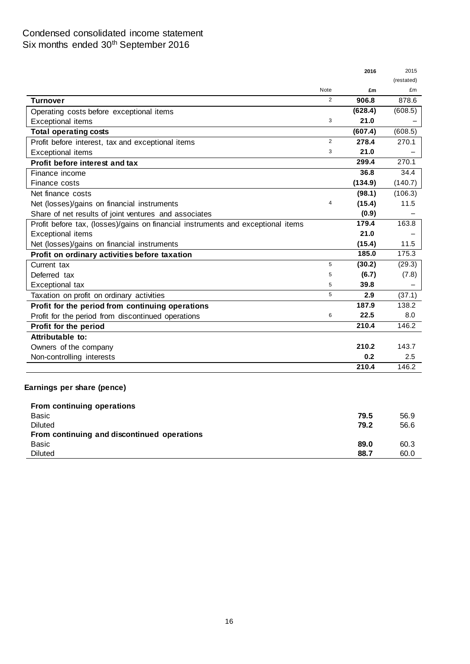# Condensed consolidated income statement Six months ended 30<sup>th</sup> September 2016

|                                                                                  |                | 2016    | 2015       |
|----------------------------------------------------------------------------------|----------------|---------|------------|
|                                                                                  |                |         | (restated) |
|                                                                                  | Note           | £m      | £m         |
| Turnover                                                                         | 2              | 906.8   | 878.6      |
| Operating costs before exceptional items                                         |                | (628.4) | (608.5)    |
| <b>Exceptional items</b>                                                         | 3              | 21.0    |            |
| <b>Total operating costs</b>                                                     |                | (607.4) | (608.5)    |
| Profit before interest, tax and exceptional items                                | $\overline{2}$ | 278.4   | 270.1      |
| <b>Exceptional items</b>                                                         | 3              | 21.0    |            |
| Profit before interest and tax                                                   |                | 299.4   | 270.1      |
| Finance income                                                                   |                | 36.8    | 34.4       |
| Finance costs                                                                    |                | (134.9) | (140.7)    |
| Net finance costs                                                                |                | (98.1)  | (106.3)    |
| Net (losses)/gains on financial instruments                                      | 4              | (15.4)  | 11.5       |
| Share of net results of joint ventures and associates                            |                | (0.9)   |            |
| Profit before tax, (losses)/gains on financial instruments and exceptional items |                | 179.4   | 163.8      |
| <b>Exceptional items</b>                                                         |                | 21.0    |            |
| Net (losses)/gains on financial instruments                                      |                | (15.4)  | 11.5       |
| Profit on ordinary activities before taxation                                    |                | 185.0   | 175.3      |
| Current tax                                                                      | 5              | (30.2)  | (29.3)     |
| Deferred tax                                                                     | 5              | (6.7)   | (7.8)      |
| Exceptional tax                                                                  | 5              | 39.8    |            |
| Taxation on profit on ordinary activities                                        | 5              | 2.9     | (37.1)     |
| Profit for the period from continuing operations                                 |                | 187.9   | 138.2      |
| Profit for the period from discontinued operations                               | 6              | 22.5    | 8.0        |
| Profit for the period                                                            |                | 210.4   | 146.2      |
| Attributable to:                                                                 |                |         |            |
| Owners of the company                                                            |                | 210.2   | 143.7      |
| Non-controlling interests                                                        |                | 0.2     | 2.5        |
|                                                                                  |                | 210.4   | 146.2      |
| Earnings per share (pence)                                                       |                |         |            |
| From continuing operations                                                       |                |         |            |
| Basic                                                                            |                | 79.5    | 56.9       |
| <b>Diluted</b>                                                                   |                | 79.2    | 56.6       |
| From continuing and discontinued operations                                      |                |         |            |
| Basic                                                                            |                | 89.0    | 60.3       |
| Diluted                                                                          |                | 88.7    | 60.0       |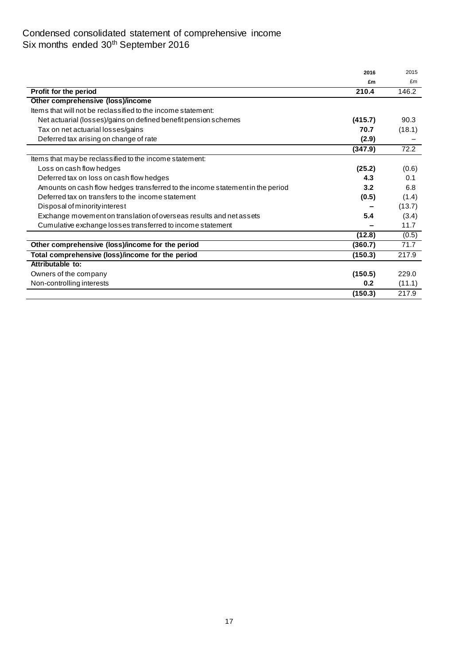# Condensed consolidated statement of comprehensive income Six months ended 30<sup>th</sup> September 2016

|                                                                               | 2016    | 2015   |
|-------------------------------------------------------------------------------|---------|--------|
|                                                                               | £m      | £m     |
| Profit for the period                                                         | 210.4   | 146.2  |
| Other comprehensive (loss)/income                                             |         |        |
| Items that will not be reclassified to the income statement:                  |         |        |
| Net actuarial (losses)/gains on defined benefit pension schemes               | (415.7) | 90.3   |
| Tax on net actuarial losses/gains                                             | 70.7    | (18.1) |
| Deferred tax arising on change of rate                                        | (2.9)   |        |
|                                                                               | (347.9) | 72.2   |
| Items that may be reclassified to the income statement:                       |         |        |
| Loss on cash flow hedges                                                      | (25.2)  | (0.6)  |
| Deferred tax on loss on cash flow hedges                                      | 4.3     | 0.1    |
| Amounts on cash flow hedges transferred to the income statement in the period | 3.2     | 6.8    |
| Deferred tax on transfers to the income statement                             | (0.5)   | (1.4)  |
| Disposal of minority interest                                                 |         | (13.7) |
| Exchange movement on translation of overseas results and net assets           | 5.4     | (3.4)  |
| Cumulative exchange losses transferred to income statement                    |         | 11.7   |
|                                                                               | (12.8)  | (0.5)  |
| Other comprehensive (loss)/income for the period                              | (360.7) | 71.7   |
| Total comprehensive (loss)/income for the period                              | (150.3) | 217.9  |
| Attributable to:                                                              |         |        |
| Owners of the company                                                         | (150.5) | 229.0  |
| Non-controlling interests                                                     | 0.2     | (11.1) |
|                                                                               | (150.3) | 217.9  |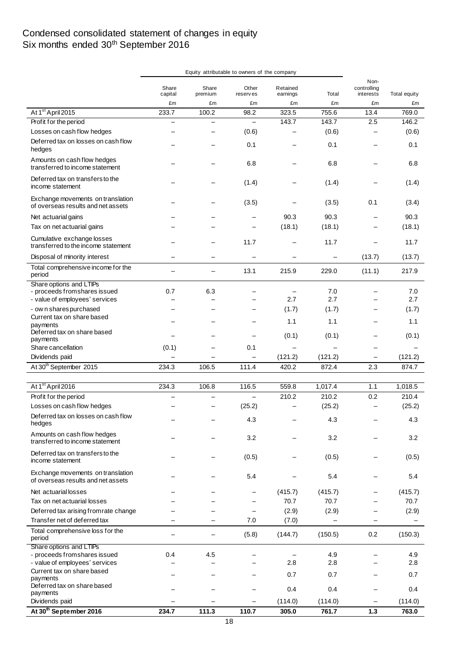# Condensed consolidated statement of changes in equity Six months ended 30<sup>th</sup> September 2016

|                                                                         |                  |                          | Equity attributable to owners of the company |                      |            |                                  |              |
|-------------------------------------------------------------------------|------------------|--------------------------|----------------------------------------------|----------------------|------------|----------------------------------|--------------|
|                                                                         | Share<br>capital | Share<br>premium         | Other<br>reserves                            | Retained<br>earnings | Total      | Non-<br>controlling<br>interests | Total equity |
|                                                                         | £m               | £m                       | £m                                           | £m                   | £m         | £m                               | £m           |
| At 1 <sup>st</sup> April 2015                                           | 233.7            | 100.2                    | 98.2                                         | 323.5                | 755.6      | 13.4                             | 769.0        |
| Profit for the period                                                   | —                | $\overline{\phantom{0}}$ |                                              | 143.7                | 143.7      | 2.5                              | 146.2        |
| Losses on cash flow hedges                                              |                  |                          | (0.6)                                        |                      | (0.6)      |                                  | (0.6)        |
| Deferred tax on losses on cash flow<br>hedges                           |                  |                          | 0.1                                          |                      | 0.1        |                                  | 0.1          |
| Amounts on cash flow hedges<br>transferred to income statement          |                  |                          | 6.8                                          |                      | 6.8        |                                  | 6.8          |
| Deferred tax on transfers to the<br>income statement                    |                  |                          | (1.4)                                        |                      | (1.4)      |                                  | (1.4)        |
| Exchange movements on translation<br>of overseas results and net assets |                  |                          | (3.5)                                        |                      | (3.5)      | 0.1                              | (3.4)        |
| Net actuarial gains                                                     |                  |                          |                                              | 90.3                 | 90.3       |                                  | 90.3         |
| Tax on net actuarial gains                                              |                  |                          |                                              | (18.1)               | (18.1)     |                                  | (18.1)       |
| Cumulative exchange losses<br>transferred to the income statement       |                  |                          | 11.7                                         |                      | 11.7       |                                  | 11.7         |
| Disposal of minority interest                                           |                  | -                        |                                              |                      |            | (13.7)                           | (13.7)       |
| Total comprehensive income for the                                      |                  |                          |                                              |                      |            |                                  |              |
| period                                                                  |                  |                          | 13.1                                         | 215.9                | 229.0      | (11.1)                           | 217.9        |
| Share options and LTIPs                                                 |                  |                          |                                              |                      |            |                                  |              |
| - proceeds fromshares issued<br>- value of employees' services          | 0.7              | 6.3                      |                                              | 2.7                  | 7.0<br>2.7 |                                  | 7.0<br>2.7   |
| - own shares purchased                                                  |                  |                          |                                              | (1.7)                | (1.7)      |                                  | (1.7)        |
| Current tax on share based                                              |                  |                          |                                              |                      |            |                                  |              |
| payments                                                                |                  |                          |                                              | 1.1                  | 1.1        |                                  | 1.1          |
| Deferred tax on share based                                             |                  |                          |                                              | (0.1)                | (0.1)      |                                  | (0.1)        |
| payments<br>Share cancellation                                          | (0.1)            |                          | 0.1                                          |                      |            |                                  |              |
| Dividends paid                                                          |                  |                          |                                              | (121.2)              | (121.2)    | $\qquad \qquad -$                | (121.2)      |
| At 30 <sup>th</sup> September 2015                                      | 234.3            | 106.5                    | 111.4                                        | 420.2                | 872.4      | 2.3                              | 874.7        |
|                                                                         |                  |                          |                                              |                      |            |                                  |              |
| At 1st April 2016                                                       | 234.3            | 106.8                    | 116.5                                        | 559.8                | 1,017.4    | 1.1                              | 1,018.5      |
| Profit for the period                                                   |                  |                          |                                              | 210.2                | 210.2      | 0.2                              | 210.4        |
| Losses on cash flow hedges                                              |                  |                          | (25.2)                                       |                      | (25.2)     |                                  | (25.2)       |
| Deferred tax on losses on cash flow                                     |                  |                          |                                              |                      |            |                                  |              |
| hedges                                                                  |                  |                          | 4.3                                          |                      | 4.3        |                                  | 4.3          |
| Amounts on cash flow hedges<br>transferred to income statement          |                  |                          | 3.2                                          |                      | 3.2        |                                  | 3.2          |
| Deferred tax on transfers to the<br>income statement                    |                  |                          | (0.5)                                        |                      | (0.5)      |                                  | (0.5)        |
| Exchange movements on translation<br>of overseas results and net assets |                  |                          | 5.4                                          |                      | 5.4        |                                  | 5.4          |
| Net actuarial losses                                                    |                  |                          |                                              | (415.7)              | (415.7)    |                                  | (415.7)      |
| Tax on net actuarial losses                                             |                  |                          |                                              | 70.7                 | 70.7       |                                  | 70.7         |
| Deferred tax arising from rate change                                   |                  |                          |                                              | (2.9)                | (2.9)      |                                  | (2.9)        |
| Transfer net of deferred tax                                            |                  |                          | 7.0                                          | (7.0)                |            |                                  |              |
| Total comprehensive loss for the<br>period                              |                  |                          | (5.8)                                        | (144.7)              | (150.5)    | 0.2                              | (150.3)      |
| Share options and LTIPs                                                 |                  |                          |                                              |                      |            |                                  |              |
| - proceeds fromshares issued<br>- value of employees' services          | 0.4              | 4.5                      |                                              | 2.8                  | 4.9<br>2.8 |                                  | 4.9<br>2.8   |
| Current tax on share based                                              |                  |                          |                                              |                      |            |                                  |              |
| payments                                                                |                  |                          |                                              | 0.7                  | 0.7        |                                  | 0.7          |
| Deferred tax on share based                                             |                  |                          |                                              | 0.4                  | 0.4        |                                  | 0.4          |
| payments<br>Dividends paid                                              |                  |                          |                                              | (114.0)              | (114.0)    |                                  | (114.0)      |
| At 30 <sup>th</sup> September 2016                                      | 234.7            | 111.3                    | 110.7                                        | 305.0                | 761.7      | 1.3                              | 763.0        |
|                                                                         |                  |                          |                                              |                      |            |                                  |              |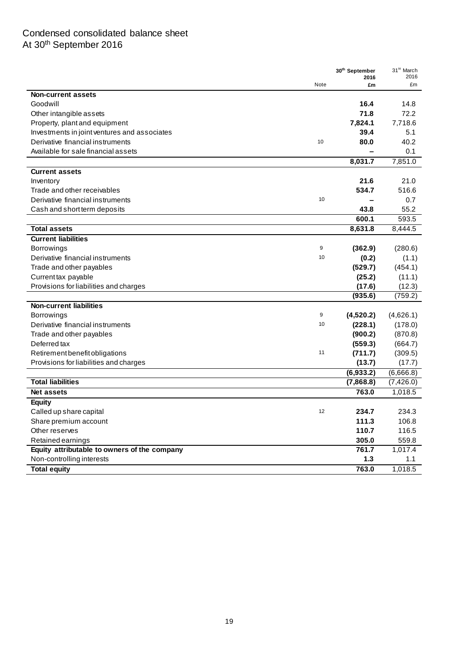# Condensed consolidated balance sheet At 30<sup>th</sup> September 2016

|                                              |      | 30 <sup>th</sup> September | 31 <sup>st</sup> March<br>2016 |
|----------------------------------------------|------|----------------------------|--------------------------------|
|                                              | Note | 2016<br>£m                 | £m                             |
| <b>Non-current assets</b>                    |      |                            |                                |
| Goodwill                                     |      | 16.4                       | 14.8                           |
| Other intangible assets                      |      | 71.8                       | 72.2                           |
| Property, plant and equipment                |      | 7,824.1                    | 7,718.6                        |
| Investments in joint ventures and associates |      | 39.4                       | 5.1                            |
| Derivative financial instruments             | 10   | 80.0                       | 40.2                           |
| Available for sale financial assets          |      |                            | 0.1                            |
|                                              |      | 8,031.7                    | 7,851.0                        |
| <b>Current assets</b>                        |      |                            |                                |
| Inventory                                    |      | 21.6                       | 21.0                           |
| Trade and other receivables                  |      | 534.7                      | 516.6                          |
| Derivative financial instruments             | 10   | $\overline{\phantom{0}}$   | 0.7                            |
| Cash and short term deposits                 |      | 43.8                       | 55.2                           |
|                                              |      | 600.1                      | 593.5                          |
| <b>Total assets</b>                          |      | 8,631.8                    | 8,444.5                        |
| <b>Current liabilities</b>                   |      |                            |                                |
| Borrowings                                   | 9    | (362.9)                    | (280.6)                        |
| Derivative financial instruments             | 10   | (0.2)                      | (1.1)                          |
| Trade and other payables                     |      | (529.7)                    | (454.1)                        |
| Current tax payable                          |      | (25.2)                     | (11.1)                         |
| Provisions for liabilities and charges       |      | (17.6)                     | (12.3)                         |
|                                              |      | (935.6)                    | (759.2)                        |
| <b>Non-current liabilities</b>               |      |                            |                                |
| Borrowings                                   | 9    | (4,520.2)                  | (4,626.1)                      |
| Derivative financial instruments             | 10   | (228.1)                    | (178.0)                        |
| Trade and other payables                     |      | (900.2)                    | (870.8)                        |
| Deferred tax                                 |      | (559.3)                    | (664.7)                        |
| Retirement benefit obligations               | 11   | (711.7)                    | (309.5)                        |
| Provisions for liabilities and charges       |      | (13.7)                     | (17.7)                         |
|                                              |      | (6,933.2)                  | (6,666.8)                      |
| <b>Total liabilities</b>                     |      | (7,868.8)                  | (7,426.0)                      |
| <b>Net assets</b>                            |      | 763.0                      | 1,018.5                        |
| <b>Equity</b>                                |      |                            |                                |
| Called up share capital                      | 12   | 234.7                      | 234.3                          |
| Share premium account                        |      | 111.3                      | 106.8                          |
| Other reserves                               |      | 110.7                      | 116.5                          |
| Retained earnings                            |      | 305.0                      | 559.8                          |
| Equity attributable to owners of the company |      | 761.7                      | 1,017.4                        |
| Non-controlling interests                    |      | 1.3                        | 1.1                            |
| <b>Total equity</b>                          |      | 763.0                      | 1,018.5                        |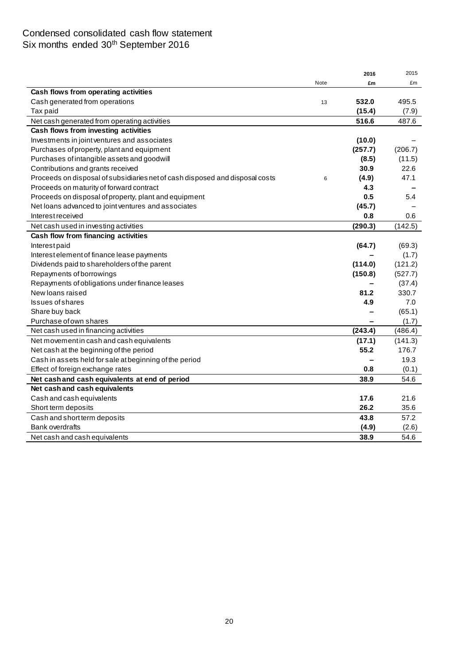# Condensed consolidated cash flow statement Six months ended 30<sup>th</sup> September 2016

|                                                                              |      | 2016    | 2015    |
|------------------------------------------------------------------------------|------|---------|---------|
|                                                                              | Note | £m      | £m      |
| Cash flows from operating activities                                         |      |         |         |
| Cash generated from operations                                               | 13   | 532.0   | 495.5   |
| Tax paid                                                                     |      | (15.4)  | (7.9)   |
| Net cash generated from operating activities                                 |      | 516.6   | 487.6   |
| Cash flows from investing activities                                         |      |         |         |
| Investments in joint ventures and associates                                 |      | (10.0)  |         |
| Purchases of property, plant and equipment                                   |      | (257.7) | (206.7) |
| Purchases of intangible assets and goodwill                                  |      | (8.5)   | (11.5)  |
| Contributions and grants received                                            |      | 30.9    | 22.6    |
| Proceeds on disposal of subsidiaries net of cash disposed and disposal costs | 6    | (4.9)   | 47.1    |
| Proceeds on maturity of forward contract                                     |      | 4.3     |         |
| Proceeds on disposal of property, plant and equipment                        |      | 0.5     | 5.4     |
| Net loans advanced to joint ventures and associates                          |      | (45.7)  |         |
| <b>Interest received</b>                                                     |      | 0.8     | 0.6     |
| Net cash used in investing activities                                        |      | (290.3) | (142.5) |
| Cash flow from financing activities                                          |      |         |         |
| Interestpaid                                                                 |      | (64.7)  | (69.3)  |
| Interest element of finance lease payments                                   |      |         | (1.7)   |
| Dividends paid to shareholders of the parent                                 |      | (114.0) | (121.2) |
| Repayments of borrowings                                                     |      | (150.8) | (527.7) |
| Repayments of obligations under finance leases                               |      |         | (37.4)  |
| New loans raised                                                             |      | 81.2    | 330.7   |
| <b>Issues of shares</b>                                                      |      | 4.9     | 7.0     |
| Share buy back                                                               |      |         | (65.1)  |
| Purchase of own shares                                                       |      |         | (1.7)   |
| Net cash used in financing activities                                        |      | (243.4) | (486.4) |
| Net movement in cash and cash equivalents                                    |      | (17.1)  | (141.3) |
| Net cash at the beginning of the period                                      |      | 55.2    | 176.7   |
| Cash in assets held for sale at beginning of the period                      |      |         | 19.3    |
| Effect of foreign exchange rates                                             |      | 0.8     | (0.1)   |
| Net cash and cash equivalents at end of period                               |      | 38.9    | 54.6    |
| Net cash and cash equivalents                                                |      |         |         |
| Cash and cash equivalents                                                    |      | 17.6    | 21.6    |
| Short term deposits                                                          |      | 26.2    | 35.6    |
| Cash and short term deposits                                                 |      | 43.8    | 57.2    |
| <b>Bank overdrafts</b>                                                       |      | (4.9)   | (2.6)   |
| Net cash and cash equivalents                                                |      | 38.9    | 54.6    |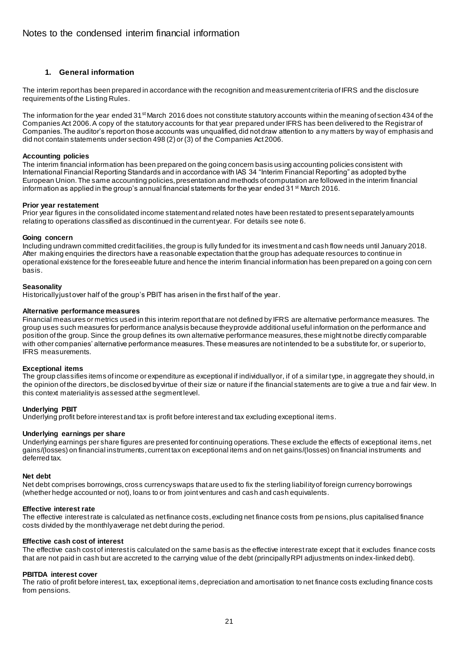## **1. General information**

The interim report has been prepared in accordance with the recognition and measurement criteria of IFRS and the disclosure requirements of the Listing Rules.

The information for the year ended 31<sup>st</sup> March 2016 does not constitute statutory accounts within the meaning of section 434 of the Companies Act 2006. A copy of the statutory accounts for that year prepared under IFRS has been delivered to the Registrar of Companies. The auditor's report on those accounts was unqualified, did not draw attention to a ny matters by way of emphasis and did not contain statements under section 498 (2) or (3) of the Companies Act 2006.

#### **Accounting policies**

The interim financial information has been prepared on the going concern basis using accounting policies consistent with International Financial Reporting Standards and in accordance with IAS 34 "Interim Financial Reporting" as adopted by the European Union. The same accounting policies, presentation and methods of computation are followed in the interim financial information as applied in the group's annual financial statements for the year ended  $31<sup>st</sup>$  March 2016.

#### **Prior year restatement**

Prior year figures in the consolidated income statement and related notes have been restated to present separately amounts relating to operations classified as discontinued in the current year. For details see note 6.

#### **Going concern**

Including undrawn committed credit facilities, the group is fully funded for its investment a nd cash flow needs until January 2018. After making enquiries the directors have a reasonable expectation that the group has adequate resources to continue in operational existence for the foreseeable future and hence the interim financial information has been prepared on a going con cern basis.

#### **Seasonality**

Historically just over half of the group's PBIT has arisen in the first half of the year.

#### **Alternative performance measures**

Financial measures or metrics used in this interim report that are not defined by IFRS are alternative performance measures. The group uses such measures for performance analysis because they provide additional useful information on the performance and position of the group. Since the group defines its own alternative performance measures, these might not be directly comparable with other companies' alternative performance measures. These measures are not intended to be a substitute for, or superior to, IFRS measurements.

#### **Exceptional items**

The group classifies items of income or expenditure as exceptional if individually or, if of a similar type, in aggregate they should, in the opinion of the directors, be disclosed by virtue of their size or nature if the financial statements are to give a true a nd fair view. In this context materiality is assessed at the segment level.

#### **Underlying PBIT**

Underlying profit before interest and tax is profit before interest and tax excluding exceptional items.

#### **Underlying earnings per share**

Underlying earnings per share figures are presented for continuing operations. These exclude the effects of exceptional items, net gains/(losses) on financial instruments, current tax on exceptional items and on net gains/(losses) on financial instruments and deferred tax.

#### **Net debt**

Net debt comprises borrowings, cross currency swaps that are used to fix the sterling liabil ity of foreign currency borrowings (whether hedge accounted or not), loans to or from joint ventures and cash and cash equivalents.

#### **Effective interest rate**

The effective interest rate is calculated as net finance costs, excluding net finance costs from pe nsions, plus capitalised finance costs divided by the monthly average net debt during the period.

#### **Effective cash cost of interest**

The effective cash cost of interest is calculated on the same basis as the effective interest rate except that it excludes finance costs that are not paid in cash but are accreted to the carrying value of the debt (principally RPI adjustments on index-linked debt).

#### **PBITDA interest cover**

The ratio of profit before interest, tax, exceptional items, depreciation and amortisation to net finance costs excluding finance costs from pensions.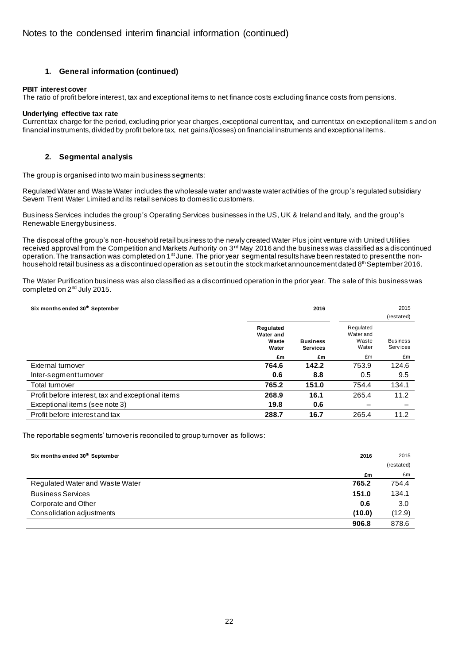## **1. General information (continued)**

#### **PBIT interest cover**

The ratio of profit before interest, tax and exceptional items to net finance costs excluding finance costs from pensions.

#### **Underlying effective tax rate**

Current tax charge for the period, excluding prior year charges, exceptional current tax, and current tax on exceptional item s and on financial instruments, divided by profit before tax, net gains/(losses) on financial instruments and exceptional items.

### **2. Segmental analysis**

The group is organised into two main business segments:

Regulated Water and Waste Water includes the wholesale water and waste water activities of the group's regulated subsidiary Severn Trent Water Limited and its retail services to domestic customers.

Business Services includes the group's Operating Services businesses in the US, UK & Ireland and Italy, and the group's Renewable Energy business.

The disposal of the group's non-household retail business to the newly created Water Plus joint venture with United Utilities received approval from the Competition and Markets Authority on 3rd May 2016 and the business was classified as a discontinued operation. The transaction was completed on 1st June. The prior year segmental results have been restated to present the nonhousehold retail business as a discontinued operation as set out in the stock market announcement dated 8<sup>th</sup> September 2016.

The Water Purification business was also classified as a discontinued operation in the prior year. The sale of this business was completed on 2<sup>nd</sup> July 2015.

| Six months ended 30 <sup>th</sup> September       |                                          | 2016                               |                                          | 2015<br>(restated)                 |
|---------------------------------------------------|------------------------------------------|------------------------------------|------------------------------------------|------------------------------------|
|                                                   | Regulated<br>Water and<br>Waste<br>Water | <b>Business</b><br><b>Services</b> | Regulated<br>Water and<br>Waste<br>Water | <b>Business</b><br><b>Services</b> |
|                                                   | £m                                       | £m                                 | £m                                       | £m                                 |
| External turnover                                 | 764.6                                    | 142.2                              | 753.9                                    | 124.6                              |
| Inter-segment turnover                            | 0.6                                      | 8.8                                | 0.5                                      | 9.5                                |
| Total turnover                                    | 765.2                                    | 151.0                              | 754.4                                    | 134.1                              |
| Profit before interest, tax and exceptional items | 268.9                                    | 16.1                               | 265.4                                    | 11.2                               |
| Exceptional items (see note 3)                    | 19.8                                     | 0.6                                |                                          |                                    |
| Profit before interest and tax                    | 288.7                                    | 16.7                               | 265.4                                    | 11.2                               |

The reportable segments' turnover is reconciled to group turnover as follows:

| Six months ended 30 <sup>th</sup> September | 2016   | 2015       |
|---------------------------------------------|--------|------------|
|                                             |        | (restated) |
|                                             | £m     | £m         |
| Regulated Water and Waste Water             | 765.2  | 754.4      |
| <b>Business Services</b>                    | 151.0  | 134.1      |
| Corporate and Other                         | 0.6    | 3.0        |
| Consolidation adjustments                   | (10.0) | (12.9)     |
|                                             | 906.8  | 878.6      |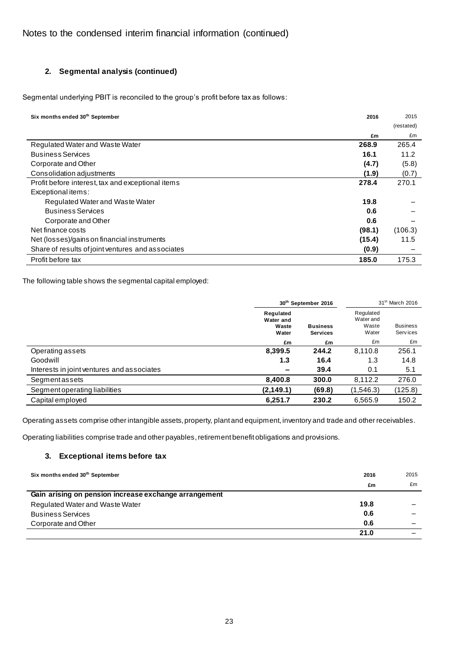## **2. Segmental analysis (continued)**

Segmental underlying PBIT is reconciled to the group's profit before tax as follows:

| Six months ended 30 <sup>th</sup> September       | 2016   | 2015       |
|---------------------------------------------------|--------|------------|
|                                                   |        | (restated) |
|                                                   | £m     | £m         |
| Regulated Water and Waste Water                   | 268.9  | 265.4      |
| <b>Business Services</b>                          | 16.1   | 11.2       |
| Corporate and Other                               | (4.7)  | (5.8)      |
| Consolidation adjustments                         | (1.9)  | (0.7)      |
| Profit before interest, tax and exceptional items | 278.4  | 270.1      |
| Exceptional items:                                |        |            |
| Regulated Water and Waste Water                   | 19.8   |            |
| <b>Business Services</b>                          | 0.6    |            |
| Corporate and Other                               | 0.6    |            |
| Net finance costs                                 | (98.1) | (106.3)    |
| Net (losses)/gains on financial instruments       | (15.4) | 11.5       |
| Share of results of joint ventures and associates | (0.9)  |            |
| Profit before tax                                 | 185.0  | 175.3      |

The following table shows the segmental capital employed:

|                                            | 30 <sup>th</sup> September 2016          |                                    | 31 <sup>st</sup> March 2016              |                             |
|--------------------------------------------|------------------------------------------|------------------------------------|------------------------------------------|-----------------------------|
|                                            | Regulated<br>Water and<br>Waste<br>Water | <b>Business</b><br><b>Services</b> | Regulated<br>Water and<br>Waste<br>Water | <b>Business</b><br>Services |
|                                            | £m                                       | £m                                 | £m                                       | £m                          |
| Operating assets                           | 8,399.5                                  | 244.2                              | 8,110.8                                  | 256.1                       |
| Goodwill                                   | 1.3                                      | 16.4                               | 1.3                                      | 14.8                        |
| Interests in joint ventures and associates | -                                        | 39.4                               | 0.1                                      | 5.1                         |
| <b>Segment assets</b>                      | 8,400.8                                  | 300.0                              | 8,112.2                                  | 276.0                       |
| Segment operating liabilities              | (2, 149.1)                               | (69.8)                             | (1,546.3)                                | (125.8)                     |
| Capital employed                           | 6,251.7                                  | 230.2                              | 6,565.9                                  | 150.2                       |

Operating assets comprise other intangible assets, property, plant and equipment, inventory and trade and other receivables.

Operating liabilities comprise trade and other payables, retirement benefit obligations and provisions.

## **3. Exceptional items before tax**

| Six months ended 30 <sup>th</sup> September           | 2016 | 2015 |
|-------------------------------------------------------|------|------|
|                                                       | £m   | £m   |
| Gain arising on pension increase exchange arrangement |      |      |
| Regulated Water and Waste Water                       | 19.8 |      |
| <b>Business Services</b>                              | 0.6  |      |
| Corporate and Other                                   | 0.6  |      |
|                                                       | 21.0 |      |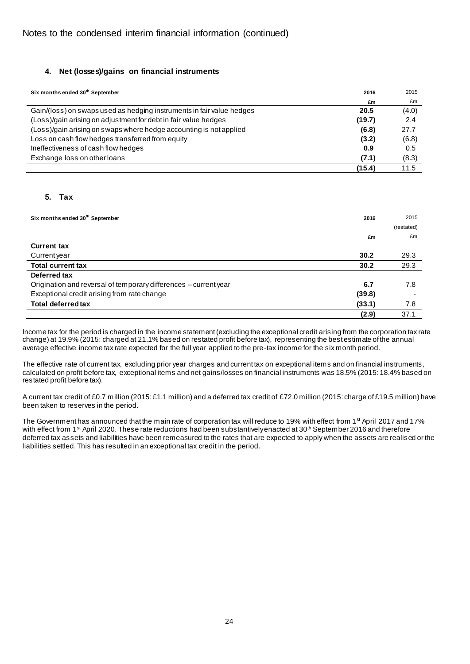## **4. Net (losses)/gains on financial instruments**

| Six months ended 30 <sup>th</sup> September                           | 2016   | 2015  |
|-----------------------------------------------------------------------|--------|-------|
|                                                                       | £m     | £m    |
| Gain/(loss) on swaps used as hedging instruments in fair value hedges | 20.5   | (4.0) |
| (Loss)/gain arising on adjustment for debt in fair value hedges       | (19.7) | 2.4   |
| (Loss)/gain arising on swaps where hedge accounting is not applied    | (6.8)  | 27.7  |
| Loss on cash flow hedges transferred from equity                      | (3.2)  | (6.8) |
| Ineffectiveness of cash flow hedges                                   | 0.9    | 0.5   |
| Exchange loss on other loans                                          | (7.1)  | (8.3) |
|                                                                       | (15.4) | 11.5  |

#### **5. Tax**

| Six months ended 30 <sup>th</sup> September                      | 2016   | 2015<br>(restated) |
|------------------------------------------------------------------|--------|--------------------|
|                                                                  | £m     | £m                 |
| <b>Current tax</b>                                               |        |                    |
| Current year                                                     | 30.2   | 29.3               |
| <b>Total current tax</b>                                         | 30.2   | 29.3               |
| Deferred tax                                                     |        |                    |
| Origination and reversal of temporary differences - current year | 6.7    | 7.8                |
| Exceptional credit arising from rate change                      | (39.8) |                    |
| <b>Total deferred tax</b>                                        | (33.1) | 7.8                |
|                                                                  | (2.9)  | 37.1               |

Income tax for the period is charged in the income statement (excluding the exceptional credit arising from the corporation tax rate change) at 19.9% (2015: charged at 21.1% based on restated profit before tax), representing the best estimate of the annual average effective income tax rate expected for the full year applied to the pre-tax income for the six month period.

The effective rate of current tax, excluding prior year charges and current tax on exceptional items and on financial instruments, calculated on profit before tax, exceptional items and net gains/losses on financial instruments was 18.5% (2015: 18.4% based on restated profit before tax).

A current tax credit of £0.7 million (2015: £1.1 million) and a deferred tax credit of £72.0 million (2015: charge of £19.5 million) have been taken to reserves in the period.

The Government has announced that the main rate of corporation tax will reduce to 19% with effect from 1<sup>st</sup> April 2017 and 17% with effect from 1<sup>st</sup> April 2020. These rate reductions had been substantively enacted at 30<sup>th</sup> September 2016 and therefore deferred tax assets and liabilities have been remeasured to the rates that are expected to apply when the assets are realised or the liabilities settled.This has resulted in an exceptional tax credit in the period.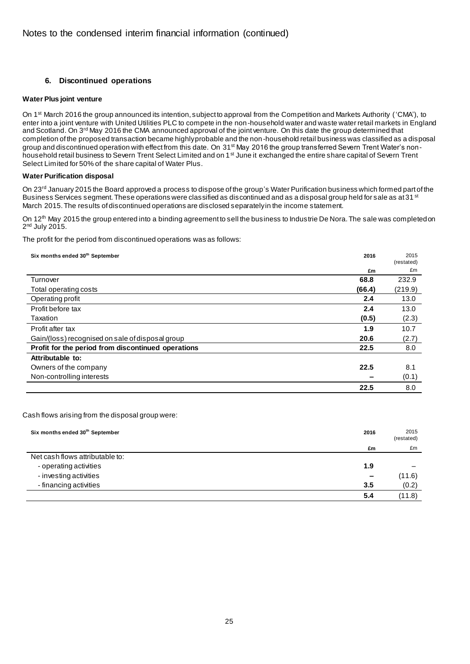## **6. Discontinued operations**

#### **Water Plus joint venture**

On 1<sup>st</sup> March 2016 the group announced its intention, subject to approval from the Competition and Markets Authority ('CMA'), to enter into a joint venture with United Utilities PLC to compete in the non-household water and waste water retail markets in England and Scotland. On 3<sup>rd</sup> May 2016 the CMA announced approval of the joint venture. On this date the group determined that completion of the proposed transaction became highly probable and the non-household retail business was classified as a disposal group and discontinued operation with effect from this date. On 31<sup>st</sup> May 2016 the group transferred Severn Trent Water's nonhousehold retail business to Severn Trent Select Limited and on 1<sup>st</sup> June it exchanged the entire share capital of Severn Trent Select Limited for 50% of the share capital of Water Plus.

#### **Water Purification disposal**

On 23rd January 2015 the Board approved a process to dispose of the group's Water Purification business which formed part of the Business Services segment. These operations were classified as discontinued and as a disposal group held for sale as at 31 st March 2015. The results of discontinued operations are disclosed separately in the income statement.

On 12<sup>th</sup> May 2015 the group entered into a binding agreement to sell the business to Industrie De Nora. The sale was completed on 2<sup>nd</sup> July 2015.

The profit for the period from discontinued operations was as follows:

## **Six months ended 30th September 2016** 2015 (restated) **£m** £m Turnover **68.8** 232.9 Total operating costs **(66.4)** (219.9) Operating profit **2.4** 13.0 Profit before tax **2.4** 13.0 Taxation **(0.5)** (2.3) Profit after tax **1.9** 10.7 Gain/(loss) recognised on sale of disposal group **20.6** (2.7) **Profit for the period from discontinued operations 22.5** 8.0 **Attributable to:** Owners of the company **22.5** 8.1 Non-controlling interests **–** (0.1) **22.5** 8.0

#### Cash flows arising from the disposal group were:

| Six months ended 30 <sup>th</sup> September | 2016 | 2015<br>(restated) |
|---------------------------------------------|------|--------------------|
|                                             | £m   | £m                 |
| Net cash flows attributable to:             |      |                    |
| - operating activities                      | 1.9  |                    |
| - investing activities                      |      | (11.6)             |
| - financing activities                      | 3.5  | (0.2)              |
|                                             | 5.4  | (11.8)             |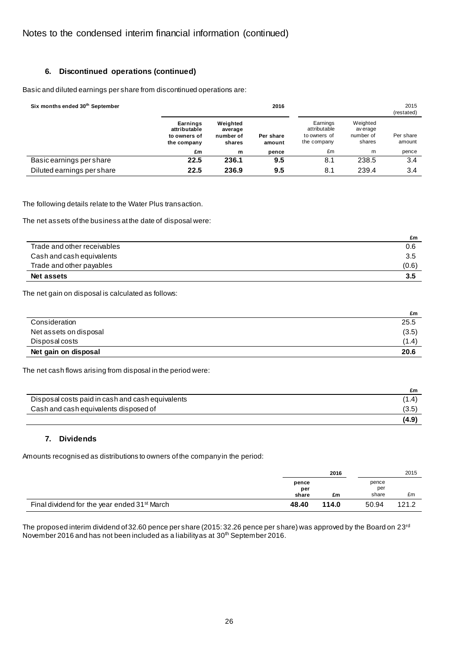## **6. Discontinued operations (continued)**

Basic and diluted earnings per share from discontinued operations are:

| Six months ended 30 <sup>th</sup> September |                                                         |                                            | 2016                |                                                         |                                             | 2015<br>(restated)  |
|---------------------------------------------|---------------------------------------------------------|--------------------------------------------|---------------------|---------------------------------------------------------|---------------------------------------------|---------------------|
|                                             | Earnings<br>attributable<br>to owners of<br>the company | Weighted<br>average<br>number of<br>shares | Per share<br>amount | Earnings<br>attributable<br>to owners of<br>the company | Weighted<br>av erage<br>number of<br>shares | Per share<br>amount |
|                                             | £m                                                      | m                                          | pence               | £m                                                      | m                                           | pence               |
| Basic earnings per share                    | 22.5                                                    | 236.1                                      | 9.5                 | 8.1                                                     | 238.5                                       | 3.4                 |
| Diluted earnings per share                  | 22.5                                                    | 236.9                                      | 9.5                 | 8.1                                                     | 239.4                                       | 3.4                 |

The following details relate to the Water Plus transaction.

The net assets of the business at the date of disposal were:

|                             | £m    |
|-----------------------------|-------|
| Trade and other receivables | 0.6   |
| Cash and cash equivalents   | 3.5   |
| Trade and other payables    | (0.6) |
| Net assets                  | 3.5   |

The net gain on disposal is calculated as follows:

|                        | £m    |
|------------------------|-------|
| Consideration          | 25.5  |
| Net assets on disposal | (3.5) |
| Disposal costs         | (1.4) |
| Net gain on disposal   | 20.6  |

The net cash flows arising from disposal in the period were:

|                                                  | £m    |
|--------------------------------------------------|-------|
| Disposal costs paid in cash and cash equivalents |       |
| Cash and cash equivalents disposed of            | (3.5) |
|                                                  | (4.9) |

## **7. Dividends**

Amounts recognised as distributions to owners of the company in the period:

|                                                          |                       | 2016  |                       | 2015  |
|----------------------------------------------------------|-----------------------|-------|-----------------------|-------|
|                                                          | pence<br>per<br>share | £m    | pence<br>per<br>share | £m    |
| Final dividend for the year ended 31 <sup>st</sup> March | 48.40                 | 114.0 | 50.94                 | 121.2 |

The proposed interim dividend of 32.60 pence per share (2015: 32.26 pence per share) was approved by the Board on 23 $^{\rm rd}$ November 2016 and has not been included as a liability as at 30<sup>th</sup> September 2016.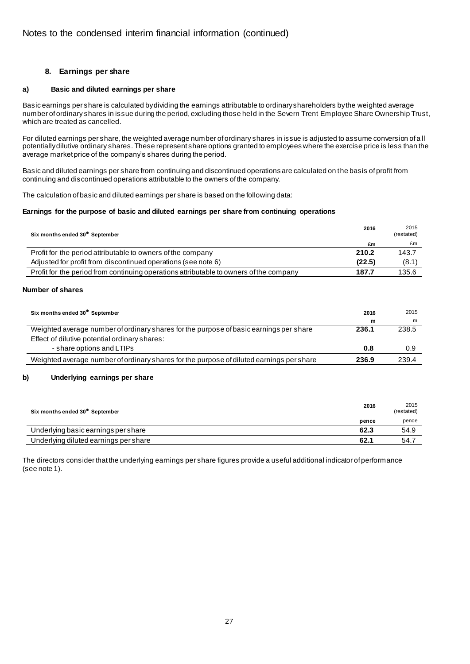## **8. Earnings per share**

#### **a) Basic and diluted earnings per share**

Basic earnings per share is calculated by dividing the earnings attributable to ordinary shareholders by the weighted average number of ordinary shares in issue during the period, excluding those held in the Severn Trent Employee Share Ownership Trust, which are treated as cancelled.

For diluted earnings per share, the weighted average number of ordinary shares in issue is adjusted to assume conversion of a ll potentially dilutive ordinary shares. These represent share options granted to employees where the exercise price is less than the average market price of the company's shares during the period.

Basic and diluted earnings per share from continuing and discontinued operations are calculated on the basis of profit from continuing and discontinued operations attributable to the owners of the company.

The calculation of basic and diluted earnings per share is based on the following data:

#### **Earnings for the purpose of basic and diluted earnings per share from continuing operations**

| Six months ended 30 <sup>th</sup> September                                            | 2016   | 2015<br>(restated) |
|----------------------------------------------------------------------------------------|--------|--------------------|
|                                                                                        | £m     | £m                 |
| Profit for the period attributable to owners of the company                            | 210.2  | 143.7              |
| Adjusted for profit from discontinued operations (see note 6)                          | (22.5) | (8.1)              |
| Profit for the period from continuing operations attributable to owners of the company | 187.7  | 135.6              |

#### **Number of shares**

| Six months ended 30 <sup>th</sup> September                                              | 2016  | 2015  |
|------------------------------------------------------------------------------------------|-------|-------|
|                                                                                          | m     | m     |
| Weighted average number of ordinary shares for the purpose of basic earnings per share   | 236.1 | 238.5 |
| Effect of dilutive potential ordinary shares:                                            |       |       |
| - share options and LTIPs                                                                | 0.8   | 0.9   |
| Weighted average number of ordinary shares for the purpose of diluted earnings per share | 236.9 | 239.4 |

#### **b) Underlying earnings per share**

| Six months ended 30 <sup>th</sup> September | 2016  | 2015<br>(restated) |
|---------------------------------------------|-------|--------------------|
|                                             | pence | pence              |
| Underlying basic earnings per share         | 62.3  | 54.9               |
| Underlying diluted earnings per share       | 62.1  | 54.7               |

The directors consider that the underlying earnings per share figures provide a useful additional indicator of performance (see note 1).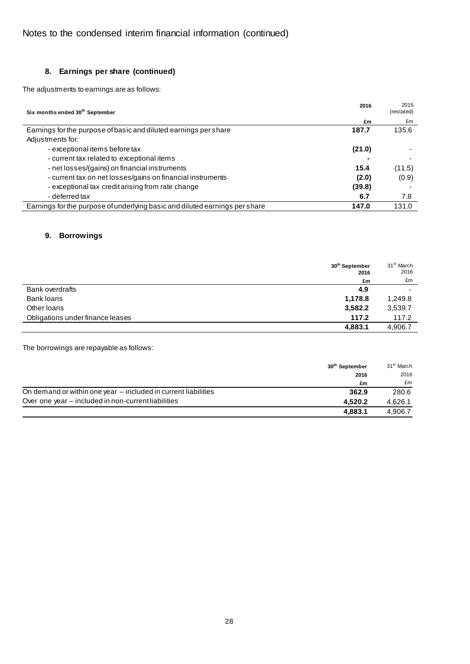# **8. Earnings per share (continued)**

The adjustments to earnings are as follows:

| Six months ended 30 <sup>th</sup> September                                 | 2016   | 2015<br>(restated) |
|-----------------------------------------------------------------------------|--------|--------------------|
|                                                                             | £m     | £m                 |
| Earnings for the purpose of basic and diluted earnings per share            | 187.7  | 135.6              |
| Adjustments for:                                                            |        |                    |
| - exceptional items before tax                                              | (21.0) |                    |
| - current tax related to exceptional items                                  |        |                    |
| - net losses/(gains) on financial instruments                               | 15.4   | (11.5)             |
| - current tax on net losses/gains on financial instruments                  | (2.0)  | (0.9)              |
| - exceptional tax credit arising from rate change                           | (39.8) |                    |
| - deferred tax                                                              | 6.7    | 7.8                |
| Earnings for the purpose of underlying basic and diluted earnings per share | 147.0  | 131.0              |

## **9. Borrowings**

|                                  | 30 <sup>th</sup> September<br>2016 | 31 <sup>st</sup> March<br>2016 |
|----------------------------------|------------------------------------|--------------------------------|
|                                  | £m                                 | £m                             |
| Bank overdrafts                  | 4.9                                |                                |
| Bank loans                       | 1,178.8                            | 1,249.8                        |
| Other loans                      | 3,582.2                            | 3,539.7                        |
| Obligations under finance leases | 117.2                              | 117.2                          |
|                                  | 4,883.1                            | 4.906.7                        |

The borrowings are repayable as follows:

| 30 <sup>th</sup> September                                              | 31 <sup>st</sup> March |
|-------------------------------------------------------------------------|------------------------|
| 2016                                                                    | 2016                   |
| £m                                                                      | £m                     |
| On demand or within one year – included in current liabilities<br>362.9 | 280.6                  |
| Over one year – included in non-current liabilities<br>4.520.2          | 4,626.1                |
| 4.883.1                                                                 | 4.906.7                |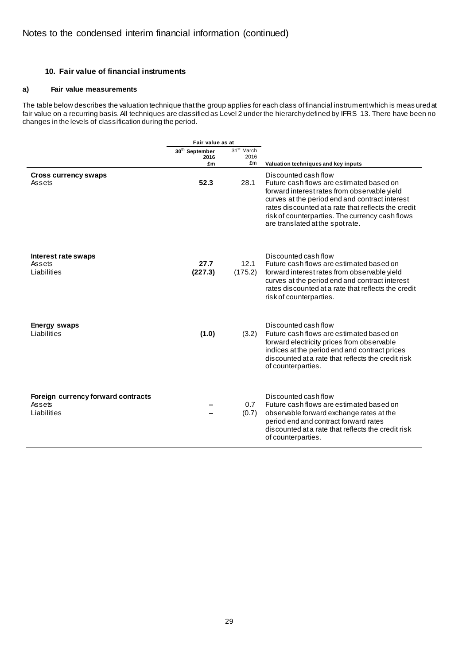## **10. Fair value of financial instruments**

#### **a) Fair value measurements**

The table below describes the valuation technique that the group applies for each class of financial instrument which is meas ured at fair value on a recurring basis. All techniques are classified as Level 2 under the hierarchy defined by IFRS 13. There have been no changes in the levels of classification during the period.

|                                                             | Fair value as at                         |                                      |                                                                                                                                                                                                                                                                                                                  |
|-------------------------------------------------------------|------------------------------------------|--------------------------------------|------------------------------------------------------------------------------------------------------------------------------------------------------------------------------------------------------------------------------------------------------------------------------------------------------------------|
|                                                             | 30 <sup>th</sup> September<br>2016<br>£m | 31 <sup>st</sup> March<br>2016<br>£m | Valuation techniques and key inputs                                                                                                                                                                                                                                                                              |
| <b>Cross currency swaps</b><br>Assets                       | 52.3                                     | 28.1                                 | Discounted cash flow<br>Future cash flows are estimated based on<br>forward interest rates from observable yield<br>curves at the period end and contract interest<br>rates discounted at a rate that reflects the credit<br>risk of counterparties. The currency cash flows<br>are translated at the spot rate. |
| Interest rate swaps<br>Assets<br>Liabilities                | 27.7<br>(227.3)                          | 12.1<br>(175.2)                      | Discounted cash flow<br>Future cash flows are estimated based on<br>forward interest rates from observable yield<br>curves at the period end and contract interest<br>rates discounted at a rate that reflects the credit<br>risk of counterparties.                                                             |
| Energy swaps<br>Liabilities                                 | (1.0)                                    | (3.2)                                | Discounted cash flow<br>Future cash flows are estimated based on<br>forward electricity prices from observable<br>indices at the period end and contract prices<br>discounted at a rate that reflects the credit risk<br>of counterparties.                                                                      |
| Foreign currency forward contracts<br>Assets<br>Liabilities |                                          | 0.7<br>(0.7)                         | Discounted cash flow<br>Future cash flows are estimated based on<br>observable forward exchange rates at the<br>period end and contract forward rates<br>discounted at a rate that reflects the credit risk<br>of counterparties.                                                                                |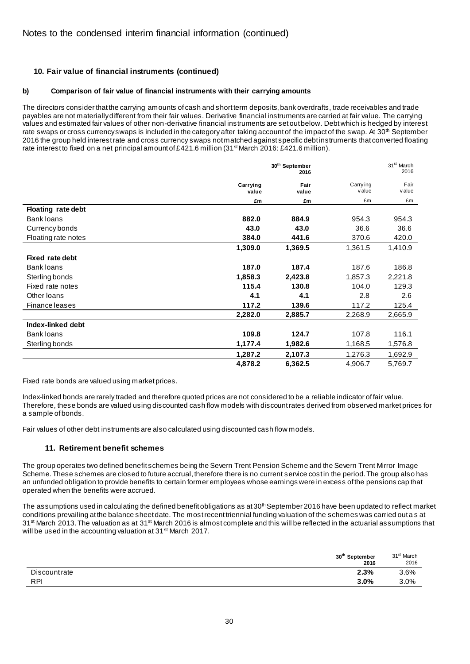## **10. Fair value of financial instruments (continued)**

#### **b) Comparison of fair value of financial instruments with their carrying amounts**

The directors consider that the carrying amounts of cash and short term deposits, bank overdrafts, trade receivables and trade payables are not materially different from their fair values. Derivative financial instruments are carried at fair value. The carrying values and estimated fair values of other non-derivative financial instruments are set out below. Debt which is hedged by interest rate swaps or cross currency swaps is included in the category after taking account of the impact of the swap. At 30<sup>th</sup> September 2016 the group held interest rate and cross currency swaps not matched against specific debt instruments that converted floating rate interest to fixed on a net principal amount of £421.6 million (31<sup>st</sup> March 2016: £421.6 million).

|                           | $30^{\text{th}}$ September<br>2016 |               |                     | 31 <sup>st</sup> March<br>2016 |
|---------------------------|------------------------------------|---------------|---------------------|--------------------------------|
|                           | Carrying<br>value                  | Fair<br>value | Carry ing<br>v alue | Fair<br>v alue                 |
|                           | £m                                 | £m            | £m                  | £m                             |
| <b>Floating rate debt</b> |                                    |               |                     |                                |
| Bank loans                | 882.0                              | 884.9         | 954.3               | 954.3                          |
| Currency bonds            | 43.0                               | 43.0          | 36.6                | 36.6                           |
| Floating rate notes       | 384.0                              | 441.6         | 370.6               | 420.0                          |
|                           | 1,309.0                            | 1,369.5       | 1,361.5             | 1,410.9                        |
| <b>Fixed rate debt</b>    |                                    |               |                     |                                |
| Bank loans                | 187.0                              | 187.4         | 187.6               | 186.8                          |
| Sterling bonds            | 1,858.3                            | 2,423.8       | 1,857.3             | 2,221.8                        |
| Fixed rate notes          | 115.4                              | 130.8         | 104.0               | 129.3                          |
| Other Ioans               | 4.1                                | 4.1           | 2.8                 | 2.6                            |
| Finance leases            | 117.2                              | 139.6         | 117.2               | 125.4                          |
|                           | 2,282.0                            | 2,885.7       | 2,268.9             | 2,665.9                        |
| Index-linked debt         |                                    |               |                     |                                |
| Bank loans                | 109.8                              | 124.7         | 107.8               | 116.1                          |
| Sterling bonds            | 1,177.4                            | 1,982.6       | 1,168.5             | 1,576.8                        |
|                           | 1,287.2                            | 2,107.3       | 1,276.3             | 1,692.9                        |
|                           | 4,878.2                            | 6,362.5       | 4,906.7             | 5,769.7                        |

Fixed rate bonds are valued using market prices.

Index-linked bonds are rarely traded and therefore quoted prices are not considered to be a reliable indicator of fair value. Therefore, these bonds are valued using discounted cash flow models with discount rates derived from observed market prices for a sample of bonds.

Fair values of other debt instruments are also calculated using discounted cash flow models.

## **11. Retirement benefit schemes**

The group operates two defined benefit schemes being the Severn Trent Pension Scheme and the Severn Trent Mirror Image Scheme. These schemes are closed to future accrual, therefore there is no current service cost in the period. The group also has an unfunded obligation to provide benefits to certain former employees whose earnings were in excess of the pensions cap that operated when the benefits were accrued.

The assumptions used in calculating the defined benefit obligations as at 30<sup>th</sup> September 2016 have been updated to reflect market conditions prevailing at the balance sheet date. The most recent triennial funding valuation of the schemes was carried out a s at 31<sup>st</sup> March 2013. The valuation as at 31<sup>st</sup> March 2016 is almost complete and this will be reflected in the actuarial assumptions that will be used in the accounting valuation at 31<sup>st</sup> March 2017.

|                     | 30 <sup>th</sup> September<br>2016 | 31 <sup>st</sup> March<br>2016 |
|---------------------|------------------------------------|--------------------------------|
| <b>Discountrate</b> | 2.3%                               | 3.6%                           |
| <b>RPI</b>          | 3.0%                               | 3.0%                           |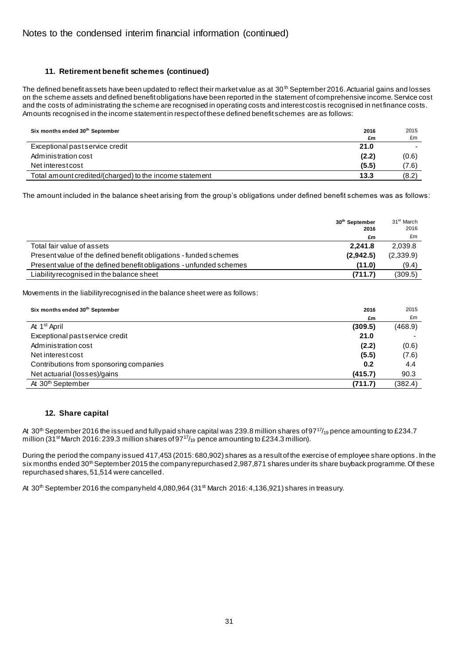## **11. Retirement benefit schemes (continued)**

The defined benefit assets have been updated to reflect their market value as at 30<sup>th</sup> September 2016. Actuarial gains and losses on the scheme assets and defined benefit obligations have been reported in the statement of comprehensive income. Service cost and the costs of administrating the scheme are recognised in operating costs and interest cost is recognised in net finance costs. Amounts recognised in the income statement in respect of these defined benefit schemes are as follows:

| Six months ended 30 <sup>th</sup> September             | 2016<br>£m | 2015<br>£m |
|---------------------------------------------------------|------------|------------|
| Exceptional past service credit                         | 21.0       |            |
| Administration cost                                     | (2.2)      | (0.6)      |
| Net interest cost                                       | (5.5)      | (7.6)      |
| Total amount credited/(charged) to the income statement | 13.3       | (8.2)      |

The amount included in the balance sheet arising from the group's obligations under defined benefit schemes was as follows:

|                                                                     | 30 <sup>th</sup> September<br>2016 | 31 <sup>st</sup> March<br>2016 |
|---------------------------------------------------------------------|------------------------------------|--------------------------------|
|                                                                     | £m                                 | £m                             |
| Total fair value of assets                                          | 2.241.8                            | 2,039.8                        |
| Present value of the defined benefit obligations - funded schemes   | (2,942.5)                          | (2,339.9)                      |
| Present value of the defined benefit obligations - unfunded schemes | (11.0)                             | (9.4)                          |
| Liability recognised in the balance sheet                           | (711.7)                            | (309.5)                        |

Movements in the liability recognised in the balance sheet were as follows:

| Six months ended 30 <sup>th</sup> September<br>2016 | 2015    |
|-----------------------------------------------------|---------|
| £m                                                  | £m      |
| At 1 <sup>st</sup> April<br>(309.5)                 | (468.9) |
| 21.0<br>Exceptional past service credit             |         |
| Administration cost<br>(2.2)                        | (0.6)   |
| Net interest cost<br>(5.5)                          | (7.6)   |
| Contributions from sponsoring companies<br>0.2      | 4.4     |
| Net actuarial (losses)/gains<br>(415.7)             | 90.3    |
| At 30 <sup>th</sup> September<br>(711.7)            | (382.4) |

## **12. Share capital**

At 30<sup>th</sup> September 2016 the issued and fully paid share capital was 239.8 million shares of 97<sup>17</sup>/<sub>19</sub> pence amounting to £234.7 million (31<sup>st</sup> March 2016: 239.3 million shares of 97<sup>17</sup>/<sub>19</sub> pence amounting to £234.3 million).

During the period the company issued 417,453 (2015: 680,902) shares as a result of the exercise of employee share options . In the six months ended 30<sup>th</sup> September 2015 the company repurchased 2,987,871 shares under its share buyback programme. Of these repurchased shares, 51,514 were cancelled.

At 30<sup>th</sup> September 2016 the company held 4,080,964 (31<sup>st</sup> March 2016: 4,136,921) shares in treasury.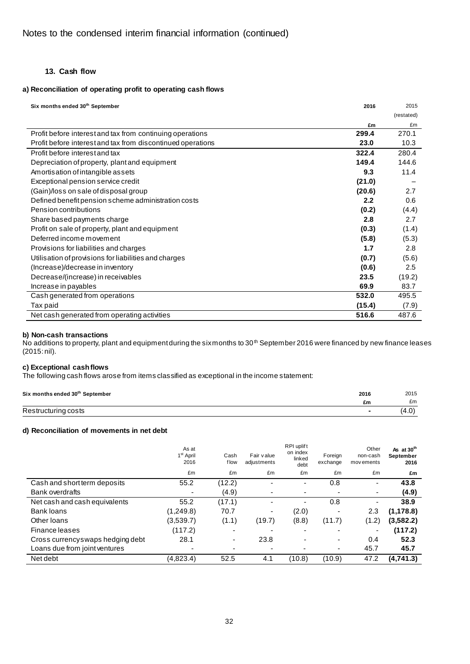## **13. Cash flow**

#### **a) Reconciliation of operating profit to operating cash flows**

| Six months ended 30 <sup>th</sup> September                 | 2016   | 2015       |
|-------------------------------------------------------------|--------|------------|
|                                                             |        | (restated) |
|                                                             | £m     | £m         |
| Profit before interest and tax from continuing operations   | 299.4  | 270.1      |
| Profit before interest and tax from discontinued operations | 23.0   | 10.3       |
| Profit before interest and tax                              | 322.4  | 280.4      |
| Depreciation of property, plant and equipment               | 149.4  | 144.6      |
| Amortisation of intangible assets                           | 9.3    | 11.4       |
| Exceptional pension service credit                          | (21.0) |            |
| (Gain)/loss on sale of disposal group                       | (20.6) | 2.7        |
| Defined benefit pension scheme administration costs         | 2.2    | 0.6        |
| Pension contributions                                       | (0.2)  | (4.4)      |
| Share based payments charge                                 | 2.8    | 2.7        |
| Profit on sale of property, plant and equipment             | (0.3)  | (1.4)      |
| Deferred income movement                                    | (5.8)  | (5.3)      |
| Provisions for liabilities and charges                      | 1.7    | 2.8        |
| Utilisation of provisions for liabilities and charges       | (0.7)  | (5.6)      |
| (Increase)/decrease in inventory                            | (0.6)  | 2.5        |
| Decrease/(increase) in receivables                          | 23.5   | (19.2)     |
| Increase in payables                                        | 69.9   | 83.7       |
| Cash generated from operations                              | 532.0  | 495.5      |
| Tax paid                                                    | (15.4) | (7.9)      |
| Net cash generated from operating activities                | 516.6  | 487.6      |

#### **b) Non-cash transactions**

No additions to property, plant and equipment during the six months to 30<sup>th</sup> September 2016 were financed by new finance leases (2015: nil).

#### **c) Exceptional cash flows**

The following cash flows arose from items classified as exceptional in the income statement:

| Six months ended 30 <sup>th</sup> September | 2016 | 2015  |
|---------------------------------------------|------|-------|
|                                             | £m   | £m    |
| Restructuring costs                         |      | (4.0) |

#### **d) Reconciliation of movements in net debt**

|                                   | As at<br>1 <sup>st</sup> April<br>2016 | Cash<br>flow             | Fair value<br>adjustments | RPI uplif t<br>on index<br>linked<br>debt | Foreign<br>exchange | Other<br>non-cash<br>mov ements | As at 30 <sup>th</sup><br>September<br>2016 |
|-----------------------------------|----------------------------------------|--------------------------|---------------------------|-------------------------------------------|---------------------|---------------------------------|---------------------------------------------|
|                                   | £m                                     | £m                       | £m                        | £m                                        | £m                  | £m                              | £m                                          |
| Cash and short term deposits      | 55.2                                   | (12.2)                   |                           | ٠                                         | 0.8                 | ٠                               | 43.8                                        |
| Bank overdrafts                   |                                        | (4.9)                    | $\overline{\phantom{0}}$  |                                           |                     | ٠                               | (4.9)                                       |
| Net cash and cash equivalents     | 55.2                                   | (17.1)                   | $\overline{\phantom{0}}$  | $\overline{\phantom{0}}$                  | 0.8                 | ۰                               | 38.9                                        |
| Bank loans                        | (1,249.8)                              | 70.7                     | ۰                         | (2.0)                                     |                     | 2.3                             | (1, 178.8)                                  |
| Other Ioans                       | (3,539.7)                              | (1.1)                    | (19.7)                    | (8.8)                                     | (11.7)              | (1.2)                           | (3,582.2)                                   |
| Finance leases                    | (117.2)                                | $\overline{\phantom{0}}$ | $\overline{\phantom{0}}$  |                                           | ۰                   | ٠                               | (117.2)                                     |
| Cross currency swaps hedging debt | 28.1                                   | $\overline{\phantom{a}}$ | 23.8                      |                                           | ۰                   | 0.4                             | 52.3                                        |
| Loans due from joint ventures     | -                                      | $\overline{\phantom{0}}$ | $\overline{\phantom{0}}$  |                                           | ۰                   | 45.7                            | 45.7                                        |
| Net debt                          | (4,823.4)                              | 52.5                     | 4.1                       | (10.8)                                    | (10.9)              | 47.2                            | (4,741.3)                                   |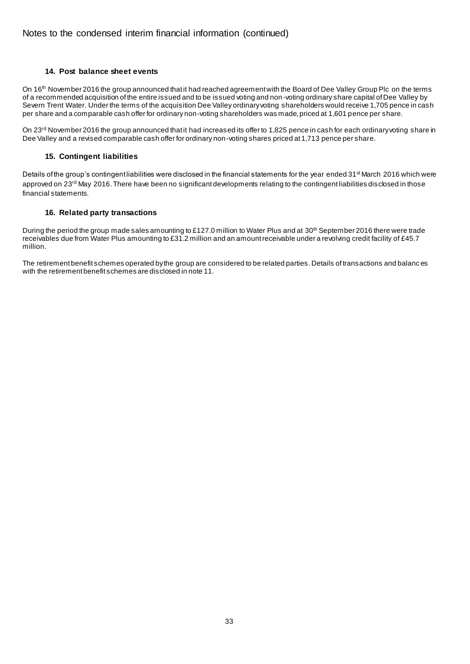## **14. Post balance sheet events**

On 16<sup>th</sup> November 2016 the group announced that it had reached agreement with the Board of Dee Valley Group Plc on the terms of a recommended acquisition of the entire issued and to be issued voting and non-voting ordinary share capital of Dee Valley by Severn Trent Water. Under the terms of the acquisition Dee Valley ordinary voting shareholders would receive 1,705 pence in cash per share and a comparable cash offer for ordinary non-voting shareholders was made, priced at 1,601 pence per share.

On 23<sup>rd</sup> November 2016 the group announced that it had increased its offer to 1,825 pence in cash for each ordinary voting share in Dee Valley and a revised comparable cash offer for ordinary non-voting shares priced at 1,713 pence per share.

#### **15. Contingent liabilities**

Details of the group's contingent liabilities were disclosed in the financial statements for the year ended 31<sup>st</sup> March 2016 which were approved on 23<sup>rd</sup> May 2016. There have been no significant developments relating to the contingent liabilities disclosed in those financial statements.

### **16. Related party transactions**

During the period the group made sales amounting to £127.0 million to Water Plus and at 30<sup>th</sup> September 2016 there were trade receivables due from Water Plus amounting to £31.2 million and an amount receivable under a revolving credit facility of £45.7 million.

The retirement benefit schemes operated by the group are considered to be related parties. Details of transactions and balanc es with the retirement benefit schemes are disclosed in note 11.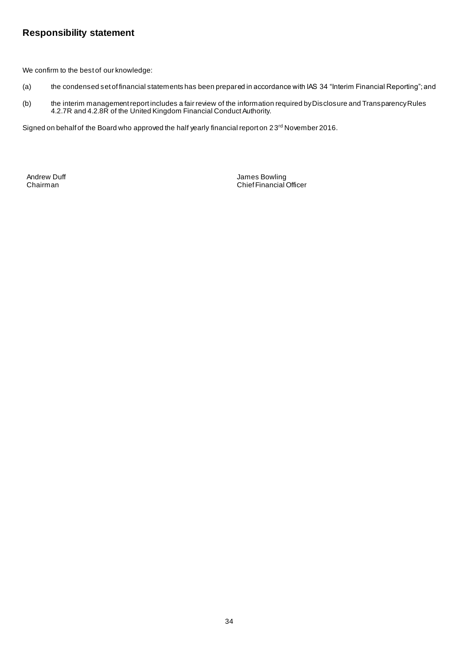# **Responsibility statement**

We confirm to the best of our knowledge:

- (a) the condensed set of financial statements has been prepared in accordance with IAS 34 "Interim Financial Reporting"; and
- (b) the interim management report includes a fair review of the information required by Disclosure and Transparency Rules 4.2.7R and 4.2.8R of the United Kingdom Financial Conduct Authority.

Signed on behalf of the Board who approved the half yearly financial report on 23 $^{\text{rd}}$  November 2016.

Andrew Duff **Andrew Duff** Andrew Duff **James Bowling**<br>
Chairman **James Bowling** Chief Financial Officer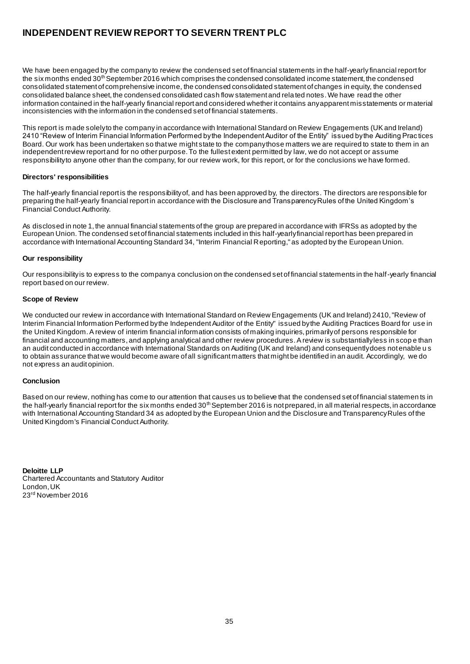# **INDEPENDENT REVIEW REPORT TO SEVERN TRENT PLC**

We have been engaged by the company to review the condensed set of financial statements in the half-yearly financial report for the six months ended  $30<sup>th</sup>$  September 2016 which comprises the condensed consolidated income statement, the condensed consolidated statement of comprehensive income, the condensed consolidated statement of changes in equity, the condensed consolidated balance sheet, the condensed consolidated cash flow statement and related notes.We have read the other information contained in the half-yearly financial report and considered whether it contains any apparent misstatements or material inconsistencies with the information in the condensed set of financial statements.

This report is made solely to the company in accordance with International Standard on Review Engagements (UK and Ireland) 2410 "Review of Interim Financial Information Performed by the Independent Auditor of the Entity" issued by the Auditing Prac tices Board. Our work has been undertaken so that we might state to the company those matters we are required to state to them in an independent review report and for no other purpose. To the fullest extent permitted by law, we do not accept or assume responsibility to anyone other than the company, for our review work, for this report, or for the conclusions we have formed.

#### **Directors' responsibilities**

The half-yearly financial report is the responsibility of, and has been approved by, the directors. The directors are responsible for preparing the half-yearly financial report in accordance with the Disclosure and Transparency Rules of the United Kingdom's Financial Conduct Authority.

As disclosed in note 1, the annual financial statements of the group are prepared in accordance with IFRSs as adopted by the European Union. The condensed set of financial statements included in this half-yearly financial report has been prepared in accordance with International Accounting Standard 34, "Interim Financial Reporting," as adopted by the European Union.

#### **Our responsibility**

Our responsibility is to express to the companya conclusion on the condensed set of financial statements in the half-yearly financial report based on our review.

#### **Scope of Review**

We conducted our review in accordance with International Standard on Review Engagements (UK and Ireland) 2410, "Review of Interim Financial Information Performed by the Independent Auditor of the Entity" issued by the Auditing Practices Board for use in the United Kingdom. A review of interim financial information consists of making inquiries, primarily of persons responsible for financial and accounting matters, and applying analytical and other review procedures. A review is substantially less in scop e than an audit conducted in accordance with International Standards on Auditing (UK and Ireland) and consequently does not enable u s to obtain assurance that we would become aware of all significant matters that might be identified in an audit. Accordingly, we do not express an audit opinion.

#### **Conclusion**

Based on our review, nothing has come to our attention that causes us to believe that the condensed set of financial statemen ts in the half-yearly financial report for the six months ended  $30<sup>th</sup>$  September 2016 is not prepared, in all material respects, in accordance with International Accounting Standard 34 as adopted by the European Union and the Disclosure and Transparency Rules of the United Kingdom's Financial ConductAuthority.

**Deloitte LLP** Chartered Accountants and Statutory Auditor London, UK 23 rd November 2016